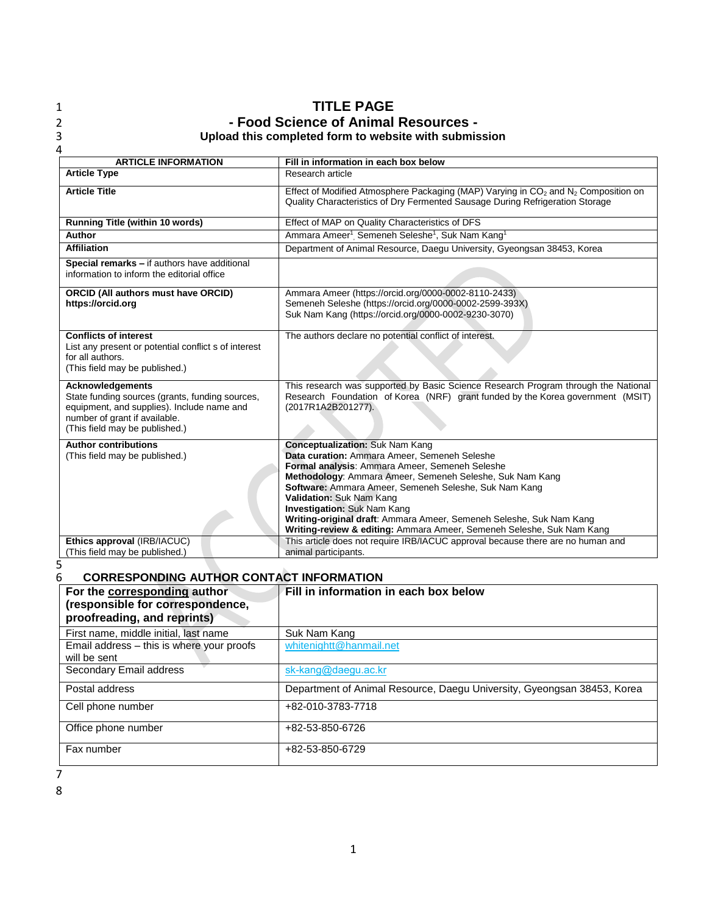|        | ı |
|--------|---|
|        |   |
|        |   |
| v<br>ř |   |

4

### 1 **TITLE PAGE**  2 **- Food Science of Animal Resources -** 3 **Upload this completed form to website with submission**

#### **ARTICLE INFORMATION Fill in information in each box below Article Type** Research article **Article Title Effect of Modified Atmosphere Packaging (MAP)** Varying in CO<sub>2</sub> and N<sub>2</sub> Composition on Quality Characteristics of Dry Fermented Sausage During Refrigeration Storage **Running Title (within 10 words) Effect of MAP on Quality Characteristics of DFS Author Ammara Ameer<sup>1</sup>, Semeneh Seleshe<sup>1</sup>, Suk Nam Kang<sup>1</sup> Affiliation** Department of Animal Resource, Daegu University, Gyeongsan 38453, Korea **Special remarks –** if authors have additional information to inform the editorial office **ORCID (All authors must have ORCID) https://orcid.org** Ammara Ameer (https://orcid.org/0000-0002-8110-2433) Semeneh Seleshe (https://orcid.org/0000-0002-2599-393X) Suk Nam Kang (https://orcid.org/0000-0002-9230-3070) **Conflicts of interest**  List any present or potential conflict s of interest for all authors. (This field may be published.) The authors declare no potential conflict of interest. **Acknowledgements** State funding sources (grants, funding sources, equipment, and supplies). Include name and number of grant if available. (This field may be published.) This research was supported by Basic Science Research Program through the National Research Foundation of Korea (NRF) grant funded by the Korea government (MSIT) (2017R1A2B201277). **Author contributions** (This field may be published.) **Conceptualization:** Suk Nam Kang **Data curation:** Ammara Ameer, Semeneh Seleshe **Formal analysis**: Ammara Ameer, Semeneh Seleshe **Methodology**: Ammara Ameer, Semeneh Seleshe, Suk Nam Kang **Software:** Ammara Ameer, Semeneh Seleshe, Suk Nam Kang **Validation:** Suk Nam Kang **Investigation:** Suk Nam Kang **Writing-original draft**: Ammara Ameer, Semeneh Seleshe, Suk Nam Kang **Writing-review & editing:** Ammara Ameer, Semeneh Seleshe, Suk Nam Kang **Ethics approval** (IRB/IACUC) (This field may be published.) This article does not require IRB/IACUC approval because there are no human and animal participants.

 $\frac{5}{6}$ 

### 6 **CORRESPONDING AUTHOR CONTACT INFORMATION**

| For the corresponding author<br>(responsible for correspondence,<br>proofreading, and reprints) | Fill in information in each box below                                   |
|-------------------------------------------------------------------------------------------------|-------------------------------------------------------------------------|
| First name, middle initial, last name                                                           | Suk Nam Kang                                                            |
| Email address - this is where your proofs<br>will be sent                                       | whitenightt@hanmail.net                                                 |
| Secondary Email address                                                                         | sk-kang@daegu.ac.kr                                                     |
| Postal address                                                                                  | Department of Animal Resource, Daegu University, Gyeongsan 38453, Korea |
| Cell phone number                                                                               | +82-010-3783-7718                                                       |
| Office phone number                                                                             | +82-53-850-6726                                                         |
| Fax number                                                                                      | +82-53-850-6729                                                         |

7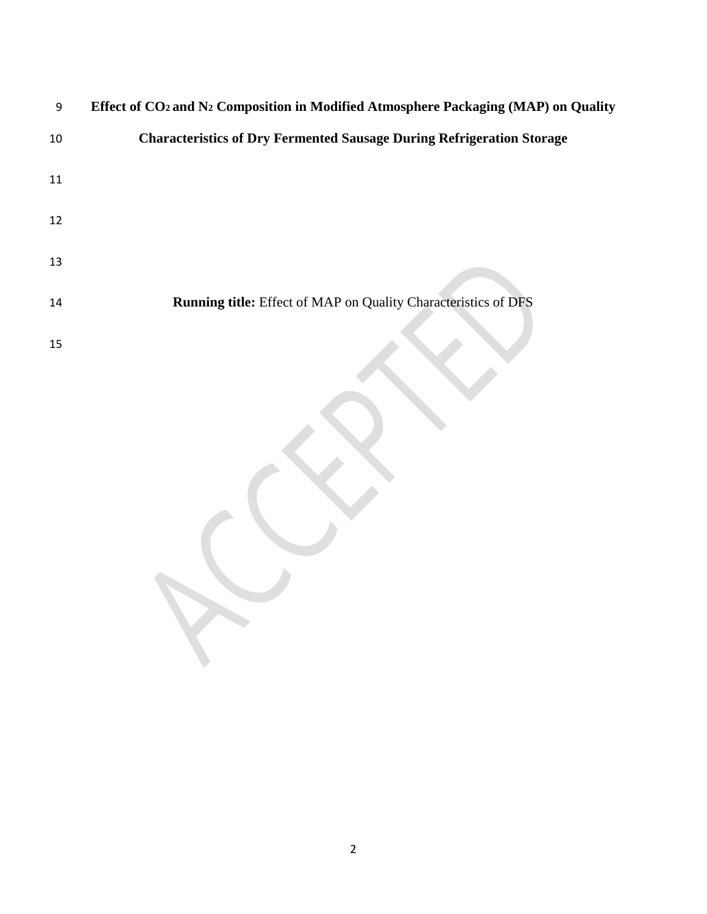| 9  | Effect of $CO_2$ and $N_2$ Composition in Modified Atmosphere Packaging (MAP) on Quality |
|----|------------------------------------------------------------------------------------------|
| 10 | <b>Characteristics of Dry Fermented Sausage During Refrigeration Storage</b>             |
| 11 |                                                                                          |
| 12 |                                                                                          |
| 13 |                                                                                          |
| 14 | <b>Running title:</b> Effect of MAP on Quality Characteristics of DFS                    |
| 15 |                                                                                          |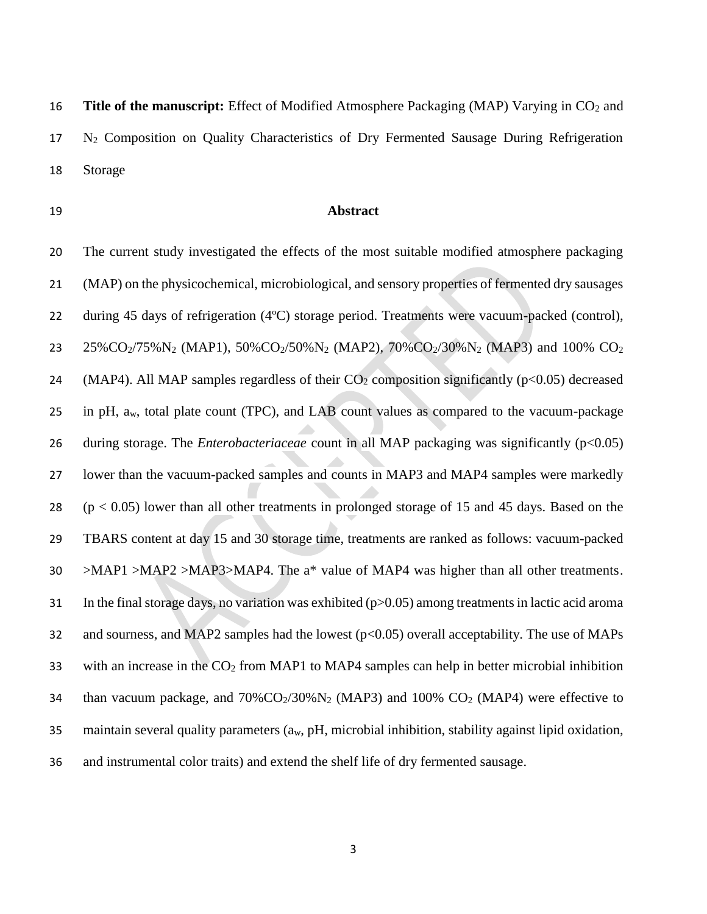**Title of the manuscript:** Effect of Modified Atmosphere Packaging (MAP) Varying in CO<sup>2</sup> and N<sup>2</sup> Composition on Quality Characteristics of Dry Fermented Sausage During Refrigeration Storage

### **Abstract**

 The current study investigated the effects of the most suitable modified atmosphere packaging (MAP) on the physicochemical, microbiological, and sensory properties of fermented dry sausages 22 during 45 days of refrigeration (4°C) storage period. Treatments were vacuum-packed (control), 23 25%CO<sub>2</sub>/75%N<sub>2</sub> (MAP1), 50%CO<sub>2</sub>/50%N<sub>2</sub> (MAP2), 70%CO<sub>2</sub>/30%N<sub>2</sub> (MAP3) and 100% CO<sub>2</sub> 24 (MAP4). All MAP samples regardless of their  $CO<sub>2</sub>$  composition significantly (p<0.05) decreased in pH, aw, total plate count (TPC), and LAB count values as compared to the vacuum-package during storage. The *Enterobacteriaceae* count in all MAP packaging was significantly (p<0.05) lower than the vacuum-packed samples and counts in MAP3 and MAP4 samples were markedly (p < 0.05) lower than all other treatments in prolonged storage of 15 and 45 days. Based on the TBARS content at day 15 and 30 storage time, treatments are ranked as follows: vacuum-packed >MAP1 >MAP2 >MAP3>MAP4. The a\* value of MAP4 was higher than all other treatments. In the final storage days, no variation was exhibited (p>0.05) among treatments in lactic acid aroma 32 and sourness, and MAP2 samples had the lowest  $(p<0.05)$  overall acceptability. The use of MAPs 33 with an increase in the CO<sub>2</sub> from MAP1 to MAP4 samples can help in better microbial inhibition 34 than vacuum package, and  $70\% \text{CO}_2/30\% \text{N}_2$  (MAP3) and  $100\% \text{ CO}_2$  (MAP4) were effective to maintain several quality parameters (aw, pH, microbial inhibition, stability against lipid oxidation, and instrumental color traits) and extend the shelf life of dry fermented sausage.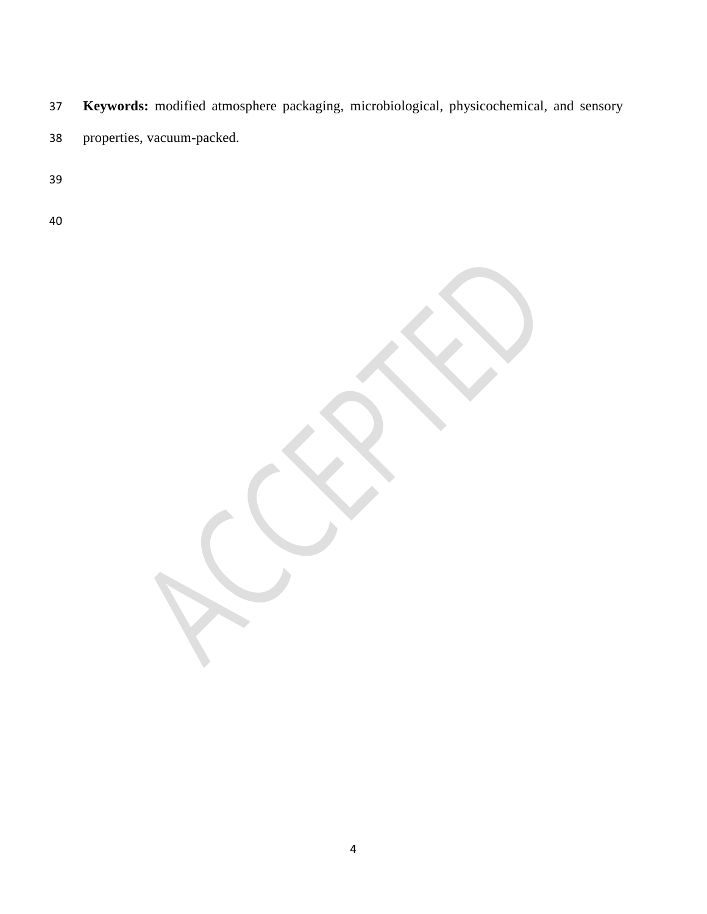- **Keywords:** modified atmosphere packaging, microbiological, physicochemical, and sensory properties, vacuum-packed.
- 
- 

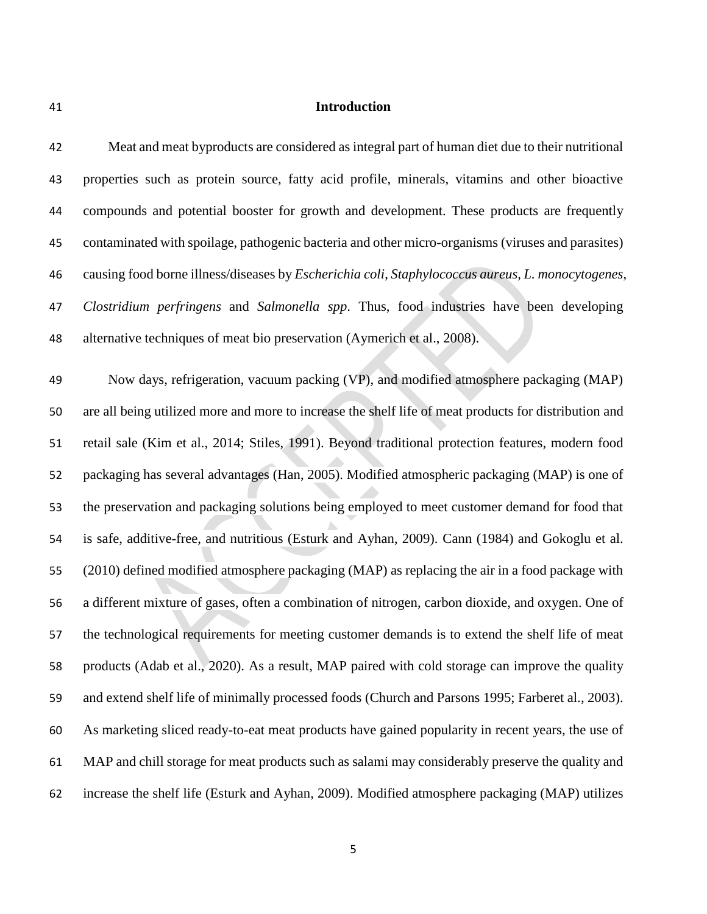#### **Introduction**

 Meat and meat byproducts are considered as integral part of human diet due to their nutritional properties such as protein source, fatty acid profile, minerals, vitamins and other bioactive compounds and potential booster for growth and development. These products are frequently contaminated with spoilage, pathogenic bacteria and other micro-organisms (viruses and parasites) causing food borne illness/diseases by *Escherichia coli*, *Staphylococcus aureus, L. monocytogenes*, *Clostridium perfringens* and *Salmonella spp*. Thus, food industries have been developing alternative techniques of meat bio preservation (Aymerich et al., 2008).

 Now days, refrigeration, vacuum packing (VP), and modified atmosphere packaging (MAP) are all being utilized more and more to increase the shelf life of meat products for distribution and retail sale (Kim et al., 2014; Stiles, 1991). Beyond traditional protection features, modern food packaging has several advantages [\(Han, 2005\)](https://www.ncbi.nlm.nih.gov/pmc/articles/PMC4213708/#b17-ajas-27-11-1623). Modified atmospheric packaging (MAP) is one of the preservation and packaging solutions being employed to meet customer demand for food that is safe, additive-free, and nutritious (Esturk and Ayhan, 2009). Cann (1984) and Gokoglu et al. (2010) defined modified atmosphere packaging (MAP) as replacing the air in a food package with a different mixture of gases, often a combination of nitrogen, carbon dioxide, and oxygen. One of the technological requirements for meeting customer demands is to extend the shelf life of meat products (Adab et al., 2020). As a result, MAP paired with cold storage can improve the quality and extend shelf life of minimally processed foods (Church and Parsons 1995; Farberet al., 2003). As marketing sliced ready-to-eat meat products have gained popularity in recent years, the use of MAP and chill storage for meat products such as salami may considerably preserve the quality and increase the shelf life (Esturk and Ayhan, 2009). Modified atmosphere packaging (MAP) utilizes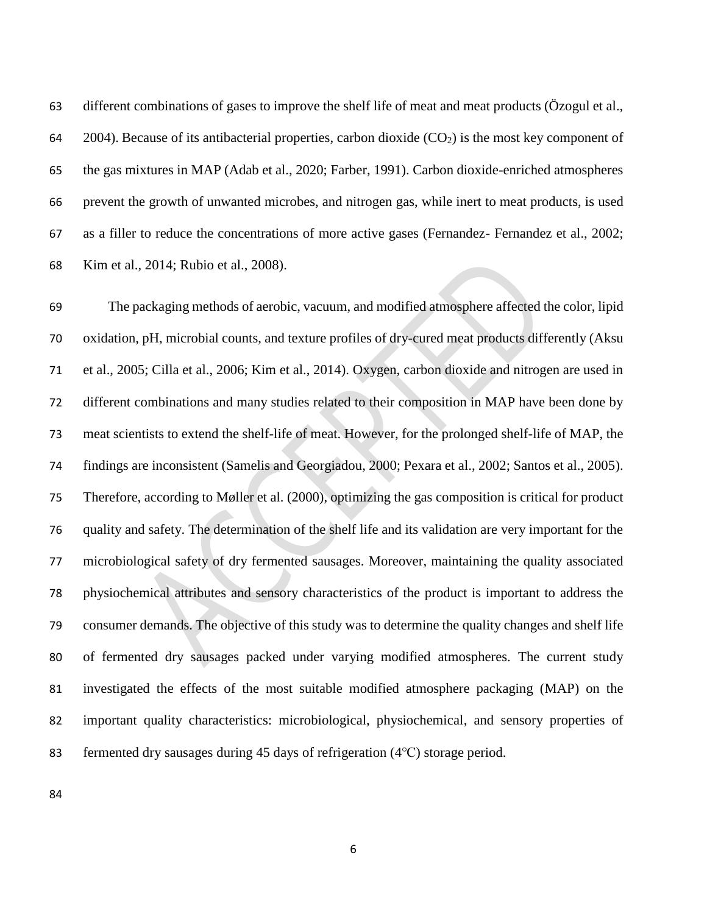different combinations of gases to improve the shelf life of meat and meat products (Ö zogul et al., 64 2004). Because of its antibacterial properties, carbon dioxide  $(CO<sub>2</sub>)$  is the most key component of the gas mixtures in MAP (Adab et al., 2020; Farber, 1991). Carbon dioxide-enriched atmospheres prevent the growth of unwanted microbes, and nitrogen gas, while inert to meat products, is used as a filler to reduce the concentrations of more active gases (Fernandez- Fernandez et al., 2002; Kim et al., 2014; Rubio et al., 2008).

 The packaging methods of aerobic, vacuum, and modified atmosphere affected the color, lipid oxidation, pH, microbial counts, and texture profiles of dry-cured meat products differently (Aksu et al., 2005; Cilla et al., 2006; Kim et al., 2014). Oxygen, carbon dioxide and nitrogen are used in different combinations and many studies related to their composition in MAP have been done by meat scientists to extend the shelf-life of meat. However, for the prolonged shelf-life of MAP, the findings are inconsistent (Samelis and Georgiadou, 2000; Pexara et al., 2002; Santos et al., 2005). Therefore, according to Møller et al. (2000), optimizing the gas composition is critical for product quality and safety. The determination of the shelf life and its validation are very important for the microbiological safety of dry fermented sausages. Moreover, maintaining the quality associated physiochemical attributes and sensory characteristics of the product is important to address the consumer demands. The objective of this study was to determine the quality changes and shelf life of fermented dry sausages packed under varying modified atmospheres. The current study investigated the effects of the most suitable modified atmosphere packaging (MAP) on the important quality characteristics: microbiological, physiochemical, and sensory properties of fermented dry sausages during 45 days of refrigeration (4℃) storage period.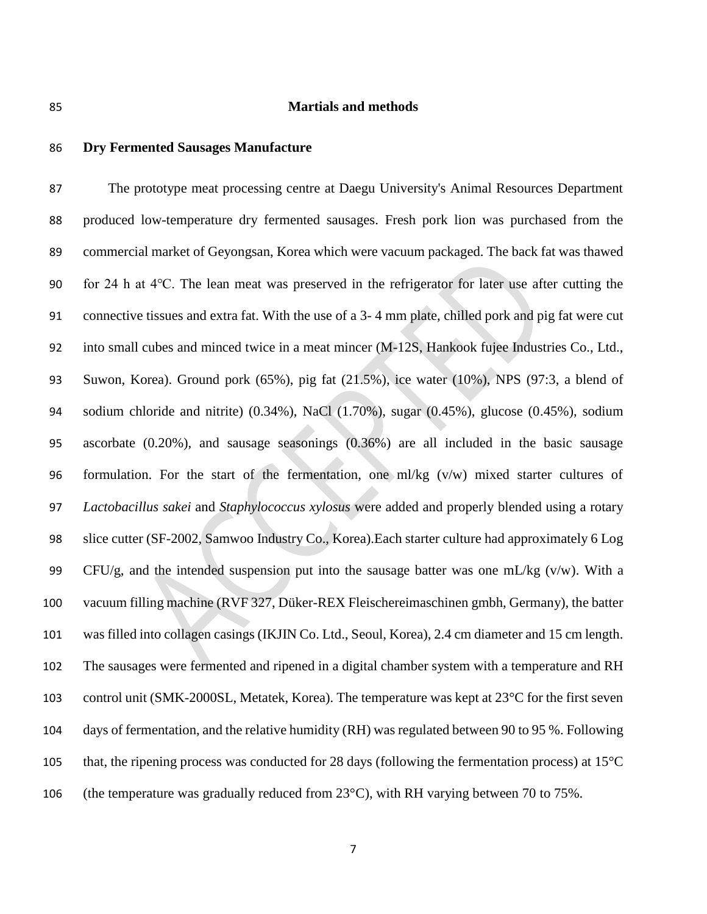### **Martials and methods**

### **Dry Fermented Sausages Manufacture**

 The prototype meat processing centre at Daegu University's Animal Resources Department produced low-temperature dry fermented sausages. Fresh pork lion was purchased from the commercial market of Geyongsan, Korea which were vacuum packaged. The back fat was thawed for 24 h at 4℃. The lean meat was preserved in the refrigerator for later use after cutting the connective tissues and extra fat. With the use of a 3- 4 mm plate, chilled pork and pig fat were cut into small cubes and minced twice in a meat mincer (M-12S, Hankook fujee Industries Co., Ltd., Suwon, Korea). Ground pork (65%), pig fat (21.5%), ice water (10%), NPS (97:3, a blend of sodium chloride and nitrite) (0.34%), NaCl (1.70%), sugar (0.45%), glucose (0.45%), sodium ascorbate (0.20%), and sausage seasonings (0.36%) are all included in the basic sausage formulation. For the start of the fermentation, one ml/kg (v/w) mixed starter cultures of *Lactobacillus sakei* and *Staphylococcus xylosus* were added and properly blended using a rotary slice cutter (SF-2002, Samwoo Industry Co., Korea).Each starter culture had approximately 6 Log 99 CFU/g, and the intended suspension put into the sausage batter was one mL/kg (v/w). With a vacuum filling machine (RVF 327, Düker-REX Fleischereimaschinen gmbh, Germany), the batter was filled into collagen casings (IKJIN Co. Ltd., Seoul, Korea), 2.4 cm diameter and 15 cm length. The sausages were fermented and ripened in a digital chamber system with a temperature and RH 103 control unit (SMK-2000SL, Metatek, Korea). The temperature was kept at 23<sup>o</sup>C for the first seven days of fermentation, and the relative humidity (RH) was regulated between 90 to 95 %. Following 105 that, the ripening process was conducted for 28 days (following the fermentation process) at  $15^{\circ}$ C 106 (the temperature was gradually reduced from  $23^{\circ}$ C), with RH varying between 70 to 75%.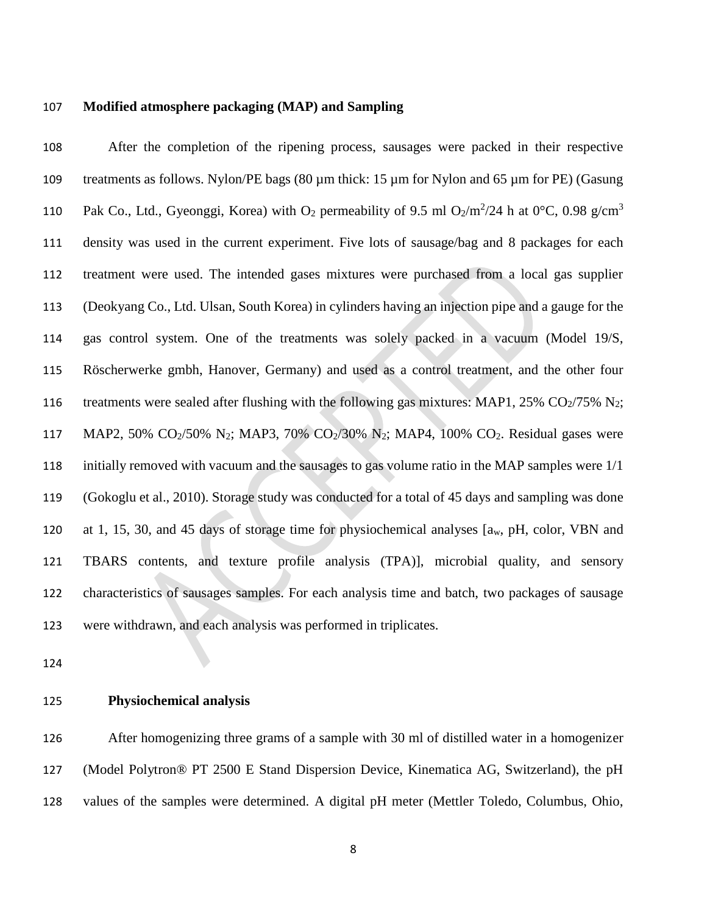### **Modified atmosphere packaging (MAP) and Sampling**

 After the completion of the ripening process, sausages were packed in their respective 109 treatments as follows. Nylon/PE bags (80 µm thick: 15 µm for Nylon and 65 µm for PE) (Gasung Pak Co., Ltd., Gyeonggi, Korea) with O<sub>2</sub> permeability of 9.5 ml O<sub>2</sub>/m<sup>2</sup>/24 h at 0°C, 0.98 g/cm<sup>3</sup> density was used in the current experiment. Five lots of sausage/bag and 8 packages for each treatment were used. The intended gases mixtures were purchased from a local gas supplier (Deokyang Co., Ltd. Ulsan, South Korea) in cylinders having an injection pipe and a gauge for the gas control system. One of the treatments was solely packed in a vacuum (Model 19/S, Röscherwerke gmbh, Hanover, Germany) and used as a control treatment, and the other four 116 treatments were sealed after flushing with the following gas mixtures: MAP1, 25%  $CO<sub>2</sub>/75%$  N<sub>2</sub>; 117 MAP2, 50% CO<sub>2</sub>/50% N<sub>2</sub>; MAP3, 70% CO<sub>2</sub>/30% N<sub>2</sub>; MAP4, 100% CO<sub>2</sub>. Residual gases were initially removed with vacuum and the sausages to gas volume ratio in the MAP samples were 1/1 (Gokoglu et al., 2010). Storage study was conducted for a total of 45 days and sampling was done at 1, 15, 30, and 45 days of storage time for physiochemical analyses [aw, pH, color, VBN and TBARS contents, and texture profile analysis (TPA)], microbial quality, and sensory characteristics of sausages samples. For each analysis time and batch, two packages of sausage were withdrawn, and each analysis was performed in triplicates.

### **Physiochemical analysis**

 After homogenizing three grams of a sample with 30 ml of distilled water in a homogenizer (Model Polytron® PT 2500 E Stand Dispersion Device, Kinematica AG, Switzerland), the pH values of the samples were determined. A digital pH meter (Mettler Toledo, Columbus, Ohio,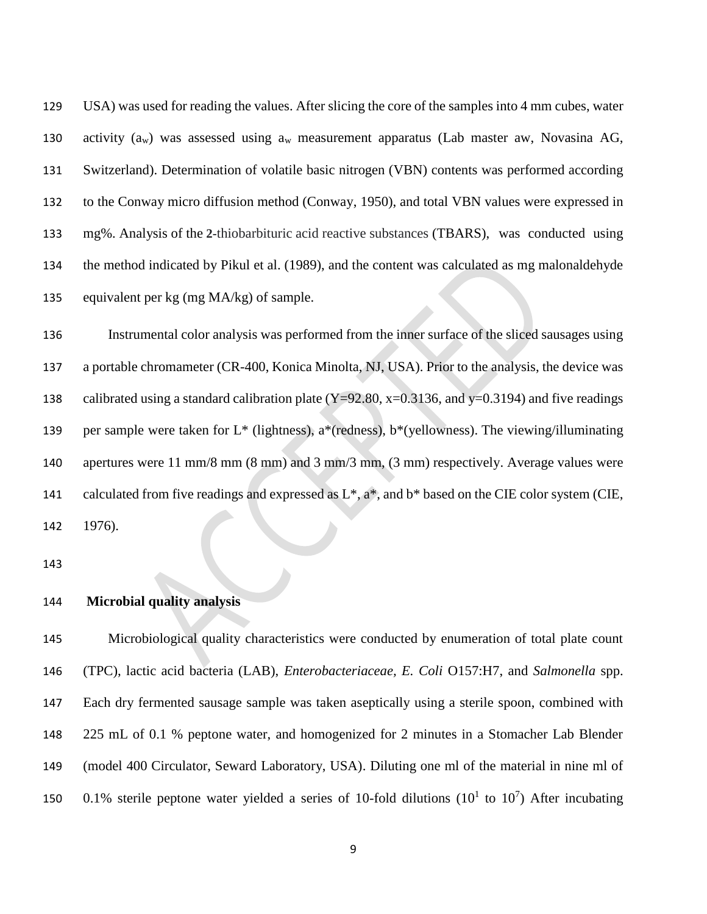USA) was used for reading the values. After slicing the core of the samples into 4 mm cubes, water 130 activity  $(a_w)$  was assessed using  $a_w$  measurement apparatus (Lab master aw, Novasina AG, Switzerland). Determination of volatile basic nitrogen (VBN) contents was performed according to the Conway micro diffusion method (Conway, 1950), and total VBN values were expressed in mg%. Analysis of the **2-**thiobarbituric acid reactive substances (TBARS), was conducted using the method indicated by Pikul et al. (1989), and the content was calculated as mg malonaldehyde equivalent per kg (mg MA/kg) of sample.

 Instrumental color analysis was performed from the inner surface of the sliced sausages using a portable chromameter (CR-400, Konica Minolta, NJ, USA). Prior to the analysis, the device was 138 calibrated using a standard calibration plate  $(Y=92.80, x=0.3136,$  and  $y=0.3194$ ) and five readings 139 per sample were taken for  $L^*$  (lightness),  $a^*$ (redness),  $b^*$ (yellowness). The viewing/illuminating apertures were 11 mm/8 mm (8 mm) and 3 mm/3 mm, (3 mm) respectively. Average values were 141 calculated from five readings and expressed as L<sup>\*</sup>, a<sup>\*</sup>, and b<sup>\*</sup> based on the CIE color system (CIE, 1976).

### **Microbial quality analysis**

 Microbiological quality characteristics were conducted by enumeration of total plate count (TPC), lactic acid bacteria (LAB), *Enterobacteriaceae, E. Coli* O157:H7, and *Salmonella* spp. Each dry fermented sausage sample was taken aseptically using a sterile spoon, combined with 225 mL of 0.1 % peptone water, and homogenized for 2 minutes in a Stomacher Lab Blender (model 400 Circulator, Seward Laboratory, USA). Diluting one ml of the material in nine ml of 150 0.1% sterile peptone water yielded a series of 10-fold dilutions  $(10<sup>1</sup>$  to  $10<sup>7</sup>)$  After incubating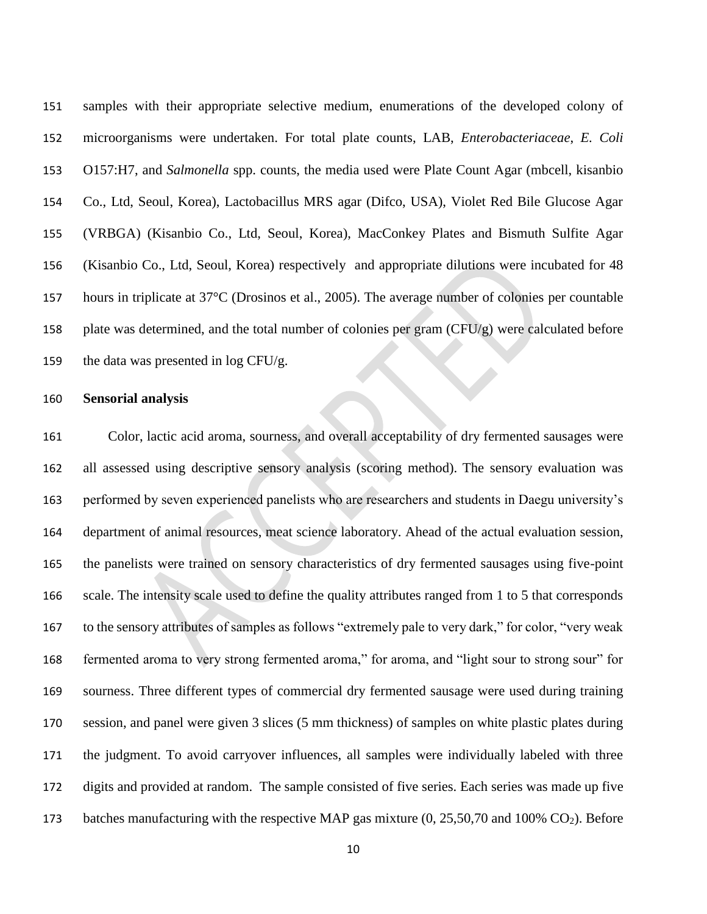samples with their appropriate selective medium, enumerations of the developed colony of microorganisms were undertaken. For total plate counts, LAB, *Enterobacteriaceae*, *E. Coli* O157:H7, and *Salmonella* spp. counts, the media used were Plate Count Agar (mbcell, kisanbio Co., Ltd, Seoul, Korea), Lactobacillus MRS agar (Difco, USA), Violet Red Bile Glucose Agar (VRBGA) (Kisanbio Co., Ltd, Seoul, Korea), MacConkey Plates and Bismuth Sulfite Agar (Kisanbio Co., Ltd, Seoul, Korea) respectively and appropriate dilutions were incubated for 48 hours in triplicate at 37°C (Drosinos et al., 2005). The average number of colonies per countable plate was determined, and the total number of colonies per gram (CFU/g) were calculated before 159 the data was presented in  $log CFU/g$ .

### **Sensorial analysis**

 Color, lactic acid aroma, sourness, and overall acceptability of dry fermented sausages were all assessed using descriptive sensory analysis (scoring method). The sensory evaluation was performed by seven experienced panelists who are researchers and students in Daegu university's department of animal resources, meat science laboratory. Ahead of the actual evaluation session, the panelists were trained on sensory characteristics of dry fermented sausages using five-point scale. The intensity scale used to define the quality attributes ranged from 1 to 5 that corresponds to the sensory attributes of samples as follows "extremely pale to very dark," for color, "very weak fermented aroma to very strong fermented aroma," for aroma, and "light sour to strong sour" for sourness. Three different types of commercial dry fermented sausage were used during training session, and panel were given 3 slices (5 mm thickness) of samples on white plastic plates during the judgment. To avoid carryover influences, all samples were individually labeled with three digits and provided at random. The sample consisted of five series. Each series was made up five 173 batches manufacturing with the respective MAP gas mixture  $(0, 25, 50, 70, 100\% \text{ CO}_2)$ . Before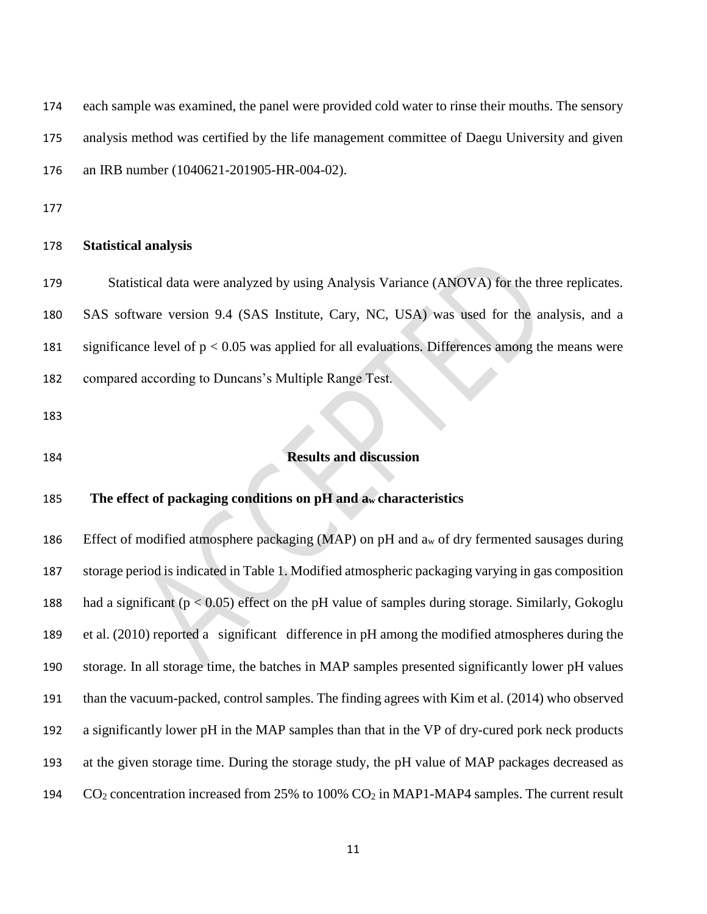each sample was examined, the panel were provided cold water to rinse their mouths. The sensory analysis method was certified by the life management committee of Daegu University and given an IRB number (1040621-201905-HR-004-02).

#### **Statistical analysis**

179 Statistical data were analyzed by using Analysis Variance (ANOVA) for the three replicates. SAS software version 9.4 (SAS Institute, Cary, NC, USA) was used for the analysis, and a 181 significance level of  $p < 0.05$  was applied for all evaluations. Differences among the means were compared according to Duncans's Multiple Range Test.

- 
- 

### **Results and discussion**

### **The effect of packaging conditions on pH and aw characteristics**

186 Effect of modified atmosphere packaging (MAP) on pH and  $a_w$  of dry fermented sausages during storage period is indicated in Table 1. Modified atmospheric packaging varying in gas composition had a significant (p < 0.05) effect on the pH value of samples during storage. Similarly, Gokoglu et al. (2010) reported a significant difference in pH among the modified atmospheres during the storage. In all storage time, the batches in MAP samples presented significantly lower pH values than the vacuum-packed, control samples. The finding agrees with Kim et al. (2014) who observed a significantly lower pH in the MAP samples than that in the VP of dry-cured pork neck products at the given storage time. During the storage study, the pH value of MAP packages decreased as  $CO_2$  concentration increased from 25% to 100%  $CO_2$  in MAP1-MAP4 samples. The current result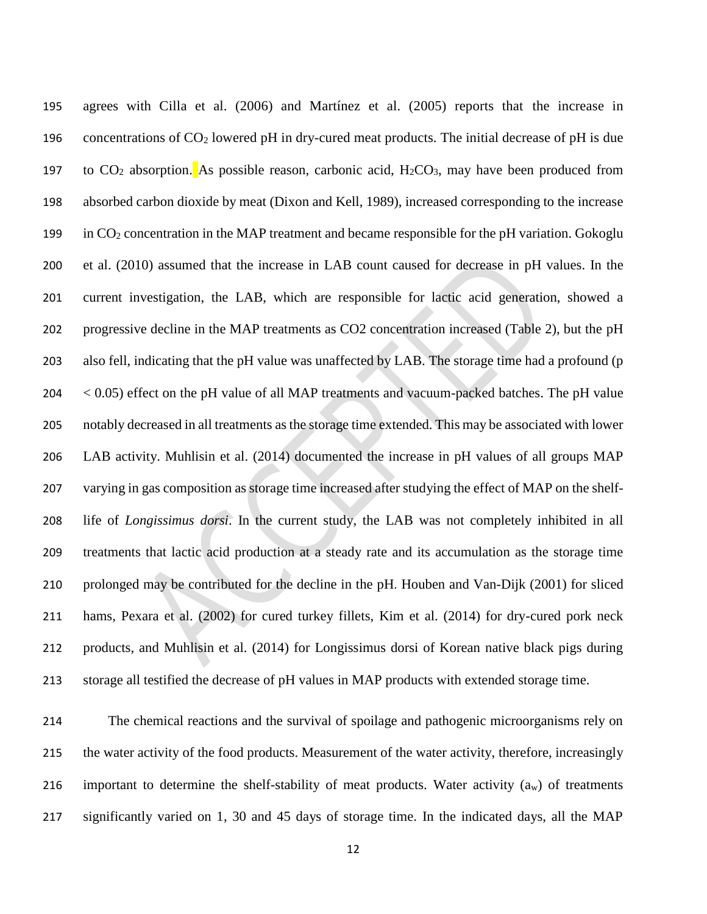agrees with Cilla et al. (2006) and Martínez et al. (2005) reports that the increase in 196 concentrations of  $CO<sub>2</sub>$  lowered pH in dry-cured meat products. The initial decrease of pH is due 197 to  $CO_2$  absorption. As possible reason, carbonic acid,  $H_2CO_3$ , may have been produced from absorbed carbon dioxide by meat (Dixon and Kell, 1989), increased corresponding to the increase 199 in  $CO<sub>2</sub>$  concentration in the MAP treatment and became responsible for the pH variation. Gokoglu et al. (2010) assumed that the increase in LAB count caused for decrease in pH values. In the current investigation, the LAB, which are responsible for lactic acid generation, showed a progressive decline in the MAP treatments as CO2 concentration increased (Table 2), but the pH also fell, indicating that the pH value was unaffected by LAB. The storage time had a profound (p < 0.05) effect on the pH value of all MAP treatments and vacuum-packed batches. The pH value notably decreased in all treatments as the storage time extended. This may be associated with lower LAB activity. Muhlisin et al. (2014) documented the increase in pH values of all groups MAP varying in gas composition as storage time increased after studying the effect of MAP on the shelf- life of *Longissimus dorsi*. In the current study, the LAB was not completely inhibited in all treatments that lactic acid production at a steady rate and its accumulation as the storage time prolonged may be contributed for the decline in the pH. Houben and Van-Dijk (2001) for sliced hams, Pexara et al. (2002) for cured turkey fillets, Kim et al. (2014) for dry-cured pork neck products, and Muhlisin et al. (2014) for Longissimus dorsi of Korean native black pigs during storage all testified the decrease of pH values in MAP products with extended storage time.

 The chemical reactions and the survival of spoilage and pathogenic microorganisms rely on the water activity of the food products. Measurement of the water activity, therefore, increasingly 216 important to determine the shelf-stability of meat products. Water activity  $(a_w)$  of treatments significantly varied on 1, 30 and 45 days of storage time. In the indicated days, all the MAP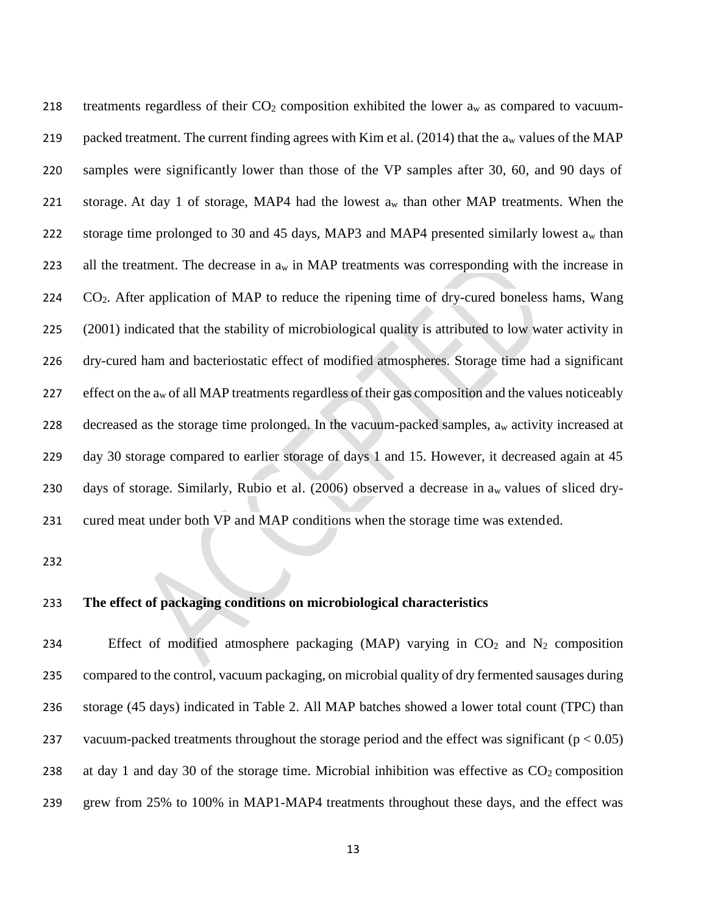218 treatments regardless of their  $CO<sub>2</sub>$  composition exhibited the lower  $a<sub>w</sub>$  as compared to vacuum-219 packed treatment. The current finding agrees with Kim et al. (2014) that the  $a_w$  values of the MAP 220 samples were significantly lower than those of the VP samples after 30, 60, and 90 days of 221 storage. At day 1 of storage, MAP4 had the lowest  $a_w$  than other MAP treatments. When the 222 storage time prolonged to 30 and 45 days, MAP3 and MAP4 presented similarly lowest  $a_w$  than 223 all the treatment. The decrease in  $a_w$  in MAP treatments was corresponding with the increase in  $224$   $CO<sub>2</sub>$ . After application of MAP to reduce the ripening time of dry-cured boneless hams, Wang 225 [\(2001\)](https://www.sciencedirect.com/science/article/pii/S0309174003002559#BIB43) indicated that the stability of microbiological quality is attributed to low water activity in 226 dry-cured ham and bacteriostatic effect of modified atmospheres. Storage time had a significant 227 effect on the  $a_w$  of all MAP treatments regardless of their gas composition and the values noticeably 228 decreased as the storage time prolonged. In the vacuum-packed samples, a<sub>w</sub> activity increased at 229 day 30 storage compared to earlier storage of days 1 and 15. However, it decreased again at 45 230 days of storage. Similarly, Rubio et al. [\(2006\)](https://www.animbiosci.org/journal/view.php?number=22970#b26-ajas-27-11-1623) observed a decrease in a<sub>w</sub> values of sliced dry-231 cured meat under both VP and MAP conditions when the storage time was extended.

232

### 233 **The effect of packaging conditions on microbiological characteristics**

234 Effect of modified atmosphere packaging (MAP) varying in  $CO<sub>2</sub>$  and N<sub>2</sub> composition 235 compared to the control, vacuum packaging, on microbial quality of dry fermented sausages during 236 storage (45 days) indicated in Table 2. All MAP batches showed a lower total count (TPC) than 237 vacuum-packed treatments throughout the storage period and the effect was significant ( $p < 0.05$ ) 238 at day 1 and day 30 of the storage time. Microbial inhibition was effective as  $CO<sub>2</sub>$  composition 239 grew from 25% to 100% in MAP1-MAP4 treatments throughout these days, and the effect was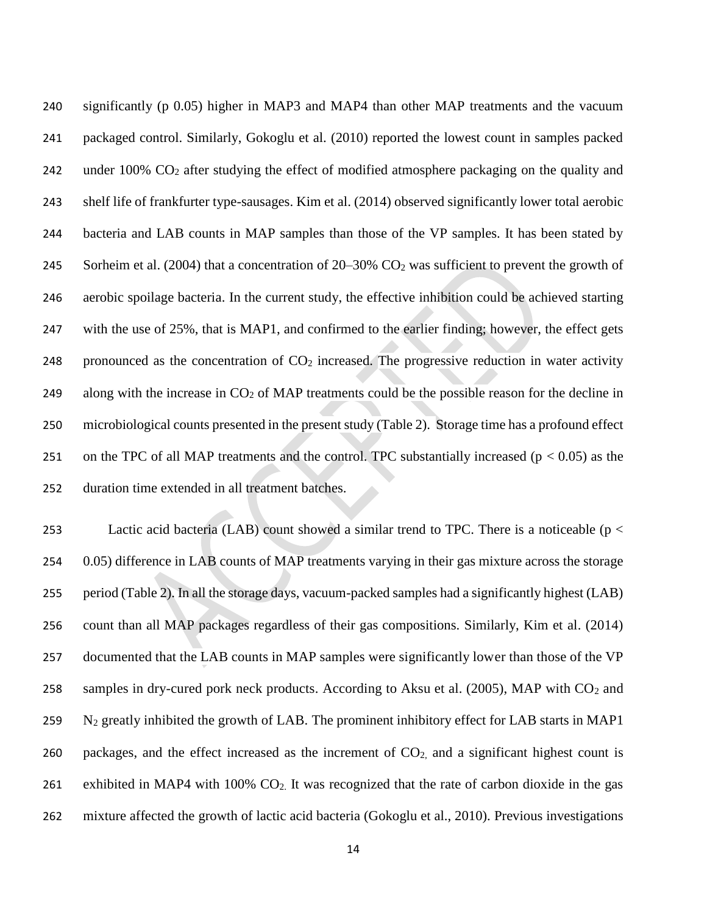significantly (p 0.05) higher in MAP3 and MAP4 than other MAP treatments and the vacuum packaged control. Similarly, Gokoglu et al. (2010) reported the lowest count in samples packed 242 under 100% CO<sub>2</sub> after studying the effect of modified atmosphere packaging on the quality and shelf life of frankfurter type-sausages. Kim et al. (2014) observed significantly lower total aerobic bacteria and LAB counts in MAP samples than those of the VP samples. It has been stated by 245 Sorheim et al. (2004) that a concentration of  $20-30\%$  CO<sub>2</sub> was sufficient to prevent the growth of aerobic spoilage bacteria. In the current study, the effective inhibition could be achieved starting with the use of 25%, that is MAP1, and confirmed to the earlier finding; however, the effect gets 248 pronounced as the concentration of  $CO<sub>2</sub>$  increased. The progressive reduction in water activity 249 along with the increase in  $CO<sub>2</sub>$  of MAP treatments could be the possible reason for the decline in microbiological counts presented in the present study (Table 2). Storage time has a profound effect 251 on the TPC of all MAP treatments and the control. TPC substantially increased  $(p < 0.05)$  as the duration time extended in all treatment batches.

253 Lactic acid bacteria (LAB) count showed a similar trend to TPC. There is a noticeable ( $p <$ 254 0.05) difference in LAB counts of MAP treatments varying in their gas mixture across the storage 255 period (Table 2). In all the storage days, vacuum-packed samples had a significantly highest (LAB) 256 count than all MAP packages regardless of their gas compositions. Similarly, Kim et al. (2014) 257 documented that the LAB counts in MAP samples were significantly lower than those of the VP 258 samples in dry-cured pork neck products. According to Aksu et al. (2005), MAP with  $CO<sub>2</sub>$  and 259 N<sub>2</sub> greatly inhibited the growth of LAB. The prominent inhibitory effect for LAB starts in MAP1 260 packages, and the effect increased as the increment of  $CO<sub>2</sub>$  and a significant highest count is 261 exhibited in MAP4 with  $100\%$  CO<sub>2</sub>. It was recognized that the rate of carbon dioxide in the gas 262 mixture affected the growth of lactic acid bacteria (Gokoglu et al., 2010). Previous investigations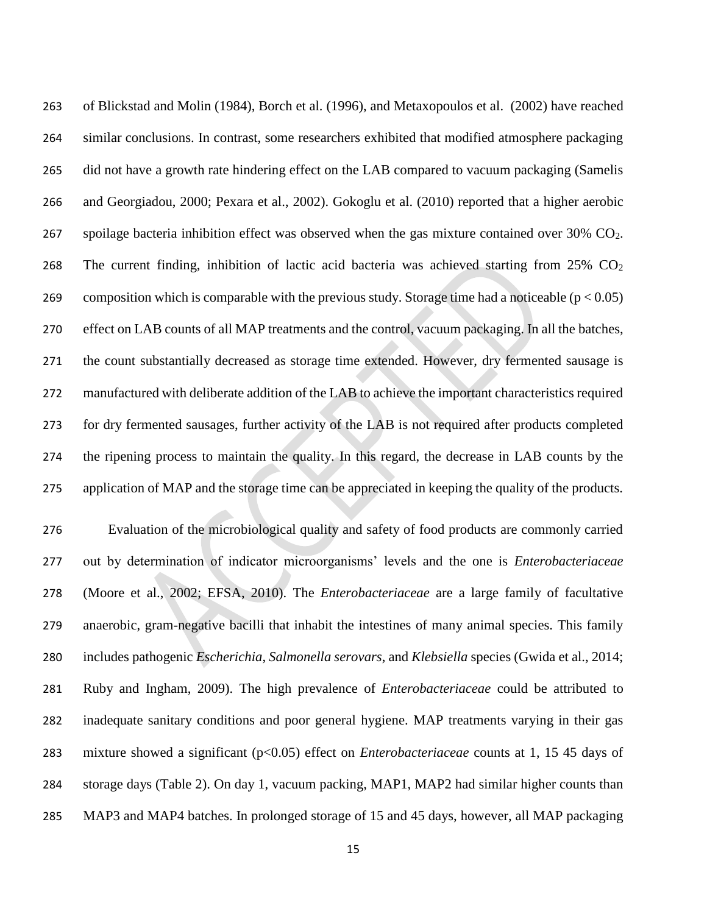of Blickstad and Molin (1984), Borch et al. (1996), and Metaxopoulos et al. (2002) have reached similar conclusions. In contrast, some researchers exhibited that modified atmosphere packaging did not have a growth rate hindering effect on the LAB compared to vacuum packaging (Samelis and Georgiadou, 2000; Pexara et al., 2002). Gokoglu et al. (2010) reported that a higher aerobic 267 spoilage bacteria inhibition effect was observed when the gas mixture contained over  $30\%$  CO<sub>2</sub>. 268 The current finding, inhibition of lactic acid bacteria was achieved starting from  $25\%$  CO<sub>2</sub> 269 composition which is comparable with the previous study. Storage time had a noticeable ( $p < 0.05$ ) effect on LAB counts of all MAP treatments and the control, vacuum packaging. In all the batches, the count substantially decreased as storage time extended. However, dry fermented sausage is manufactured with deliberate addition of the LAB to achieve the important characteristics required for dry fermented sausages, further activity of the LAB is not required after products completed the ripening process to maintain the quality. In this regard, the decrease in LAB counts by the application of MAP and the storage time can be appreciated in keeping the quality of the products. Evaluation of the microbiological quality and safety of food products are commonly carried out by determination of indicator microorganisms' levels and the one is *Enterobacteriaceae* (Moore et al., 2002; EFSA, 2010). The *Enterobacteriaceae* are a large family of facultative anaerobic, gram-negative bacilli that inhabit the intestines of many animal species. This family includes pathogenic *Escherichia*, *Salmonella serovars*, and *Klebsiella* species (Gwida et al., 2014; Ruby and Ingham, 2009). The high prevalence of *Enterobacteriaceae* could be attributed to inadequate sanitary conditions and poor general hygiene. MAP treatments varying in their gas mixture showed a significant (p<0.05) effect on *Enterobacteriaceae* counts at 1, 15 45 days of storage days (Table 2). On day 1, vacuum packing, MAP1, MAP2 had similar higher counts than MAP3 and MAP4 batches. In prolonged storage of 15 and 45 days, however, all MAP packaging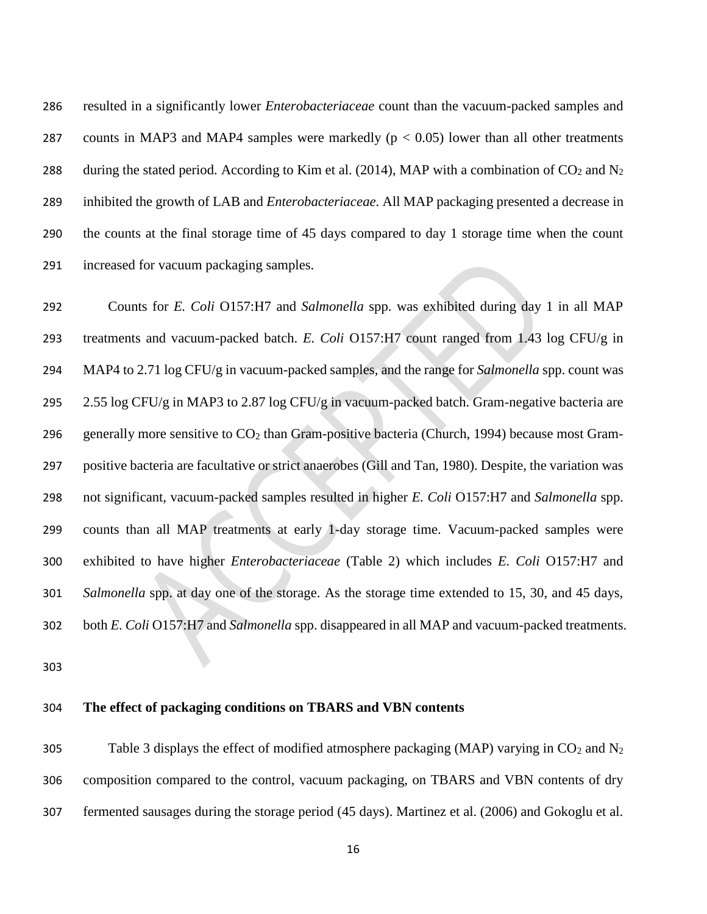resulted in a significantly lower *Enterobacteriaceae* count than the vacuum-packed samples and 287 counts in MAP3 and MAP4 samples were markedly  $(p < 0.05)$  lower than all other treatments 288 during the stated period. According to Kim et al. (2014), MAP with a combination of  $CO_2$  and N<sub>2</sub> inhibited the growth of LAB and *Enterobacteriaceae*. All MAP packaging presented a decrease in the counts at the final storage time of 45 days compared to day 1 storage time when the count increased for vacuum packaging samples.

 Counts for *E. Coli* O157:H7 and *Salmonella* spp. was exhibited during day 1 in all MAP treatments and vacuum-packed batch. *E. Coli* O157:H7 count ranged from 1.43 log CFU/g in MAP4 to 2.71 log CFU/g in vacuum-packed samples, and the range for *Salmonella* spp. count was 295 2.55 log CFU/g in MAP3 to 2.87 log CFU/g in vacuum-packed batch. Gram-negative bacteria are 296 generally more sensitive to  $CO<sub>2</sub>$  than Gram-positive bacteria (Church, 1994) because most Gram- positive bacteria are facultative or strict anaerobes (Gill and Tan, 1980). Despite, the variation was not significant, vacuum-packed samples resulted in higher *E. Coli* O157:H7 and *Salmonella* spp. counts than all MAP treatments at early 1-day storage time. Vacuum-packed samples were exhibited to have higher *Enterobacteriaceae* (Table 2) which includes *E. Coli* O157:H7 and *Salmonella* spp. at day one of the storage. As the storage time extended to 15, 30, and 45 days, both *E. Coli* O157:H7 and *Salmonella* spp. disappeared in all MAP and vacuum-packed treatments.

### **The effect of packaging conditions on TBARS and VBN contents**

305 Table 3 displays the effect of modified atmosphere packaging (MAP) varying in  $CO_2$  and  $N_2$  composition compared to the control, vacuum packaging, on TBARS and VBN contents of dry fermented sausages during the storage period (45 days). Martinez et al. (2006) and Gokoglu et al.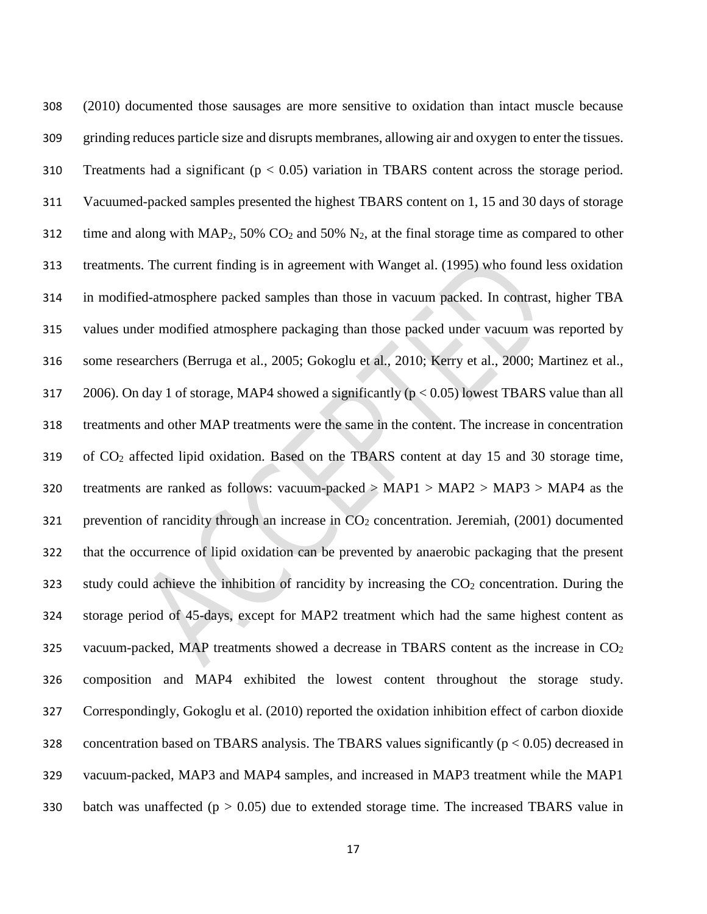(2010) documented those sausages are more sensitive to oxidation than intact muscle because grinding reduces particle size and disrupts membranes, allowing air and oxygen to enter the tissues. 310 Treatments had a significant  $(p < 0.05)$  variation in TBARS content across the storage period. Vacuumed-packed samples presented the highest TBARS content on 1, 15 and 30 days of storage 312 time and along with  $MAP_2$ , 50%  $CO_2$  and 50%  $N_2$ , at the final storage time as compared to other treatments. The current finding is in agreement with Wanget al. (1995) who found less oxidation in modified-atmosphere packed samples than those in vacuum packed. In contrast, higher TBA values under modified atmosphere packaging than those packed under vacuum was reported by some researchers (Berruga et al., 2005; Gokoglu et al., 2010; Kerry et al., 2000; Martinez et al., 2006). On day 1 of storage, MAP4 showed a significantly (p < 0.05) lowest TBARS value than all treatments and other MAP treatments were the same in the content. The increase in concentration of CO<sup>2</sup> affected lipid oxidation. Based on the TBARS content at day 15 and 30 storage time, treatments are ranked as follows: vacuum-packed > MAP1 > MAP2 > MAP3 > MAP4 as the 321 prevention of rancidity through an increase in  $CO<sub>2</sub>$  concentration. Jeremiah, (2001) documented that the occurrence of lipid oxidation can be prevented by anaerobic packaging that the present 323 study could achieve the inhibition of rancidity by increasing the  $CO<sub>2</sub>$  concentration. During the storage period of 45-days, except for MAP2 treatment which had the same highest content as 325 vacuum-packed, MAP treatments showed a decrease in TBARS content as the increase in CO<sub>2</sub> composition and MAP4 exhibited the lowest content throughout the storage study. Correspondingly, Gokoglu et al. (2010) reported the oxidation inhibition effect of carbon dioxide 328 concentration based on TBARS analysis. The TBARS values significantly ( $p < 0.05$ ) decreased in vacuum-packed, MAP3 and MAP4 samples, and increased in MAP3 treatment while the MAP1 330 batch was unaffected ( $p > 0.05$ ) due to extended storage time. The increased TBARS value in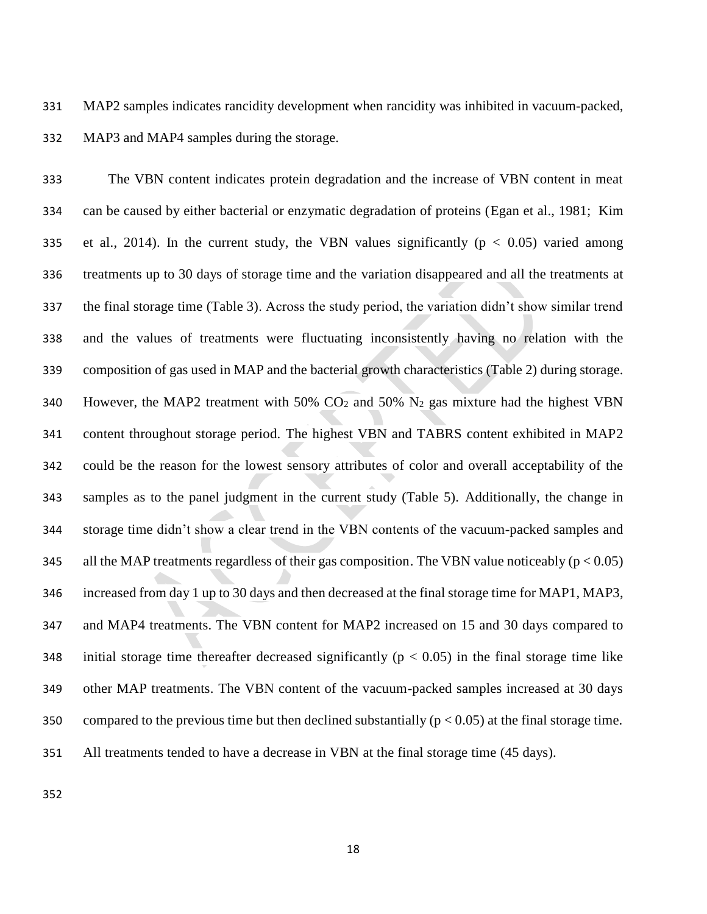MAP2 samples indicates rancidity development when rancidity was inhibited in vacuum-packed, MAP3 and MAP4 samples during the storage.

 The VBN content indicates protein degradation and the increase of VBN content in meat can be caused by either bacterial or enzymatic degradation of proteins (Egan et al., [1981;](https://www.animbiosci.org/journal/view.php?number=22970#b11-ajas-27-11-1623) Kim 335 et al., 2014). In the current study, the VBN values significantly ( $p < 0.05$ ) varied among treatments up to 30 days of storage time and the variation disappeared and all the treatments at the final storage time (Table 3). Across the study period, the variation didn't show similar trend and the values of treatments were fluctuating inconsistently having no relation with the composition of gas used in MAP and the bacterial growth characteristics (Table 2) during storage. 340 However, the MAP2 treatment with 50%  $CO<sub>2</sub>$  and 50% N<sub>2</sub> gas mixture had the highest VBN content throughout storage period. The highest VBN and TABRS content exhibited in MAP2 could be the reason for the lowest sensory attributes of color and overall acceptability of the samples as to the panel judgment in the current study (Table 5). Additionally, the change in storage time didn't show a clear trend in the VBN contents of the vacuum-packed samples and 345 all the MAP treatments regardless of their gas composition. The VBN value noticeably ( $p < 0.05$ ) increased from day 1 up to 30 days and then decreased at the final storage time for MAP1, MAP3, and MAP4 treatments. The VBN content for MAP2 increased on 15 and 30 days compared to 348 initial storage time thereafter decreased significantly ( $p < 0.05$ ) in the final storage time like other MAP treatments. The VBN content of the vacuum-packed samples increased at 30 days 350 compared to the previous time but then declined substantially  $(p < 0.05)$  at the final storage time. All treatments tended to have a decrease in VBN at the final storage time (45 days).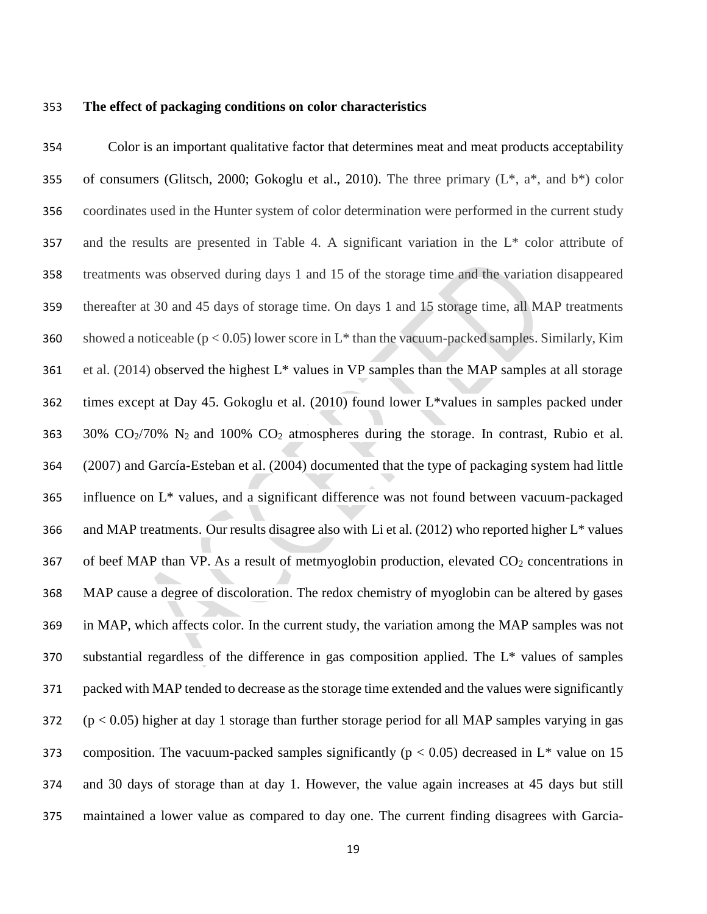#### **The effect of packaging conditions on color characteristics**

 Color is an important qualitative factor that determines meat and meat products acceptability 355 of consumers (Glitsch, 2000; Gokoglu et al., 2010). The three primary  $(L^*, a^*,$  and  $b^*)$  color coordinates used in the Hunter system of color determination were performed in the current study and the results are presented in Table 4. A significant variation in the L\* color attribute of treatments was observed during days 1 and 15 of the storage time and the variation disappeared thereafter at 30 and 45 days of storage time. On days 1 and 15 storage time, all MAP treatments 360 showed a noticeable ( $p < 0.05$ ) lower score in L<sup>\*</sup> than the vacuum-packed samples. Similarly, Kim 361 et al. (2014) observed the highest  $L^*$  values in VP samples than the MAP samples at all storage times except at Day 45. Gokoglu et al. (2010) found lower L\*values in samples packed under 363 30%  $CO<sub>2</sub>/70\%$  N<sub>2</sub> and 100%  $CO<sub>2</sub>$  atmospheres during the storage. In contrast, [Rubio](https://www.animbiosci.org/journal/view.php?number=22970#b27-ajas-27-11-1623) et al. [\(2007\)](https://www.animbiosci.org/journal/view.php?number=22970#b27-ajas-27-11-1623) and [García-Esteban](https://www.animbiosci.org/journal/view.php?number=22970#b14-ajas-27-11-1623) et al. (2004) documented that the type of packaging system had little influence on L\* values, and a significant difference was not found between vacuum-packaged and MAP treatments. Our results disagree also with [Li et al. \(2012\)](https://www.ncbi.nlm.nih.gov/pmc/articles/PMC4109872/#b24-ajas-27-8-1157-12) who reported higher L\* values 367 of beef MAP than VP. As a result of metmyoglobin production, elevated  $CO<sub>2</sub>$  concentrations in MAP cause a degree of discoloration. The redox chemistry of myoglobin can be altered by gases in MAP, which affects color. In the current study, the variation among the MAP samples was not substantial regardless of the difference in gas composition applied. The L\* values of samples packed with MAP tended to decrease as the storage time extended and the values were significantly (p < 0.05) higher at day 1 storage than further storage period for all MAP samples varying in gas 373 composition. The vacuum-packed samples significantly ( $p < 0.05$ ) decreased in L<sup>\*</sup> value on 15 and 30 days of storage than at day 1. However, the value again increases at 45 days but still maintained a lower value as compared to day one. The current finding disagrees with Garcia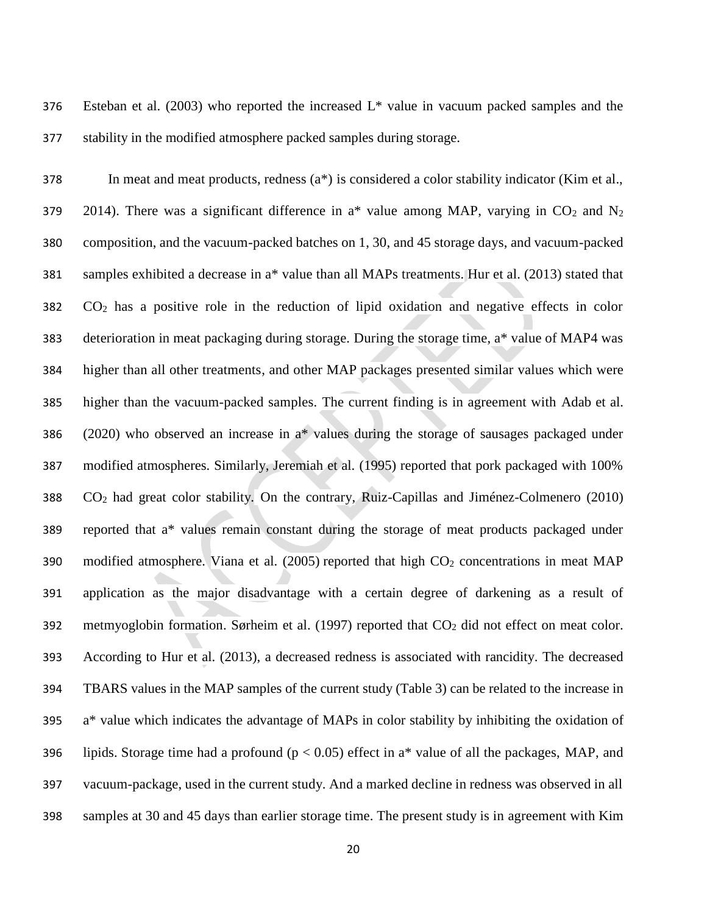Esteban et al. (2003) who reported the increased L\* value in vacuum packed samples and the stability in the modified atmosphere packed samples during storage.

 In meat and meat products, redness (a\*) is considered a color stability indicator (Kim et al., 379 2014). There was a significant difference in  $a^*$  value among MAP, varying in CO<sub>2</sub> and N<sub>2</sub> composition, and the vacuum-packed batches on 1, 30, and 45 storage days, and vacuum-packed samples exhibited a decrease in a\* value than all MAPs treatments. Hur et al. (2013) stated that CO<sup>2</sup> has a positive role in the reduction of lipid oxidation and negative effects in color deterioration in meat packaging during storage. During the storage time, a\* value of MAP4 was higher than all other treatments, and other MAP packages presented similar values which were higher than the vacuum-packed samples. The current finding is in agreement with Adab et al. (2020) who observed an increase in a\* values during the storage of sausages packaged under modified atmospheres. Similarly, Jeremiah et al. (1995) reported that pork packaged with 100% CO<sup>2</sup> had great color stability. On the contrary, Ruiz-Capillas and Jiménez-Colmenero (2010) reported that a\* values remain constant during the storage of meat products packaged under 390 modified atmosphere. Viana et al.  $(2005)$  reported that high  $CO<sub>2</sub>$  concentrations in meat MAP application as the major disadvantage with a certain degree of darkening as a result of 392 metmyoglobin formation. Sørheim et al. (1997) reported that CO<sub>2</sub> did not effect on meat color. According to Hur et al. (2013), a decreased redness is associated with rancidity. The decreased TBARS values in the MAP samples of the current study (Table 3) can be related to the increase in a\* value which indicates the advantage of MAPs in color stability by inhibiting the oxidation of 396 lipids. Storage time had a profound ( $p < 0.05$ ) effect in a\* value of all the packages, MAP, and vacuum-package, used in the current study. And a marked decline in redness was observed in all samples at 30 and 45 days than earlier storage time. The present study is in agreement with Kim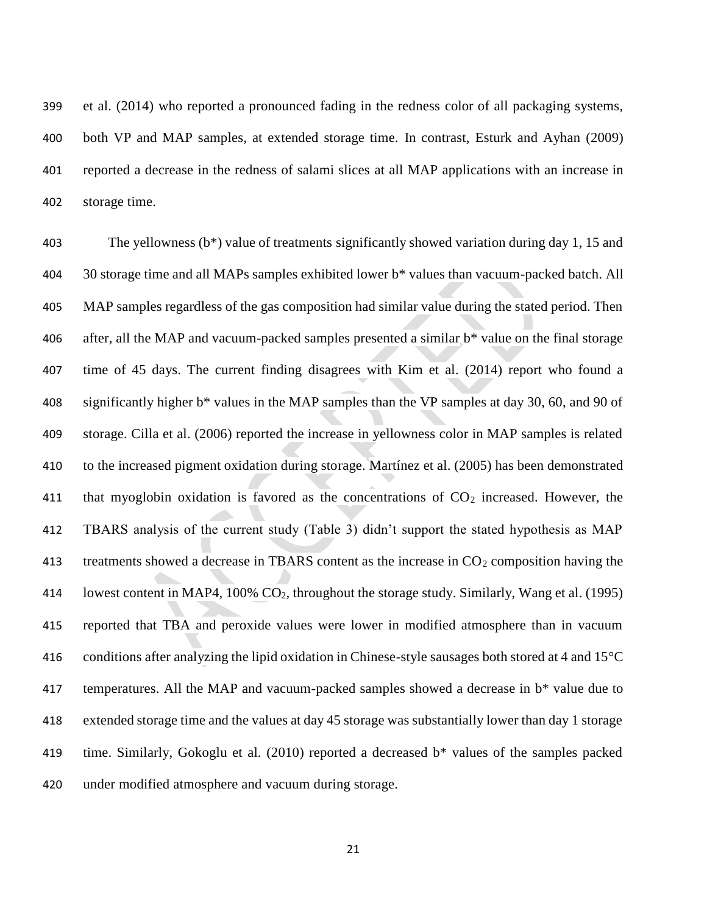et al. (2014) who reported a pronounced fading in the redness color of all packaging systems, both VP and MAP samples, at extended storage time. In contrast, Esturk and Ayhan (2009) reported a decrease in the redness of salami slices at all MAP applications with an increase in storage time.

 The yellowness (b\*) value of treatments significantly showed variation during day 1, 15 and 30 storage time and all MAPs samples exhibited lower b\* values than vacuum-packed batch. All MAP samples regardless of the gas composition had similar value during the stated period. Then after, all the MAP and vacuum-packed samples presented a similar b\* value on the final storage time of 45 days. The current finding disagrees with Kim et al. (2014) report who found a significantly higher b\* values in the MAP samples than the VP samples at day 30, 60, and 90 of storage. Cilla et al. (2006) reported the increase in yellowness color in MAP samples is related to the increased pigment oxidation during storage. Martínez et al. (2005) has been demonstrated 411 that myoglobin oxidation is favored as the concentrations of  $CO<sub>2</sub>$  increased. However, the TBARS analysis of the current study (Table 3) didn't support the stated hypothesis as MAP 413 treatments showed a decrease in TBARS content as the increase in  $CO<sub>2</sub>$  composition having the 414 lowest content in MAP4, 100%  $CO<sub>2</sub>$ , throughout the storage study. Similarly, Wang et al. (1995) reported that TBA and peroxide values were lower in modified atmosphere than in vacuum 416 conditions after analyzing the lipid oxidation in Chinese-style sausages both stored at 4 and  $15^{\circ}$ C temperatures. All the MAP and vacuum-packed samples showed a decrease in b\* value due to extended storage time and the values at day 45 storage was substantially lower than day 1 storage time. Similarly, Gokoglu et al. (2010) reported a decreased b\* values of the samples packed under modified atmosphere and vacuum during storage.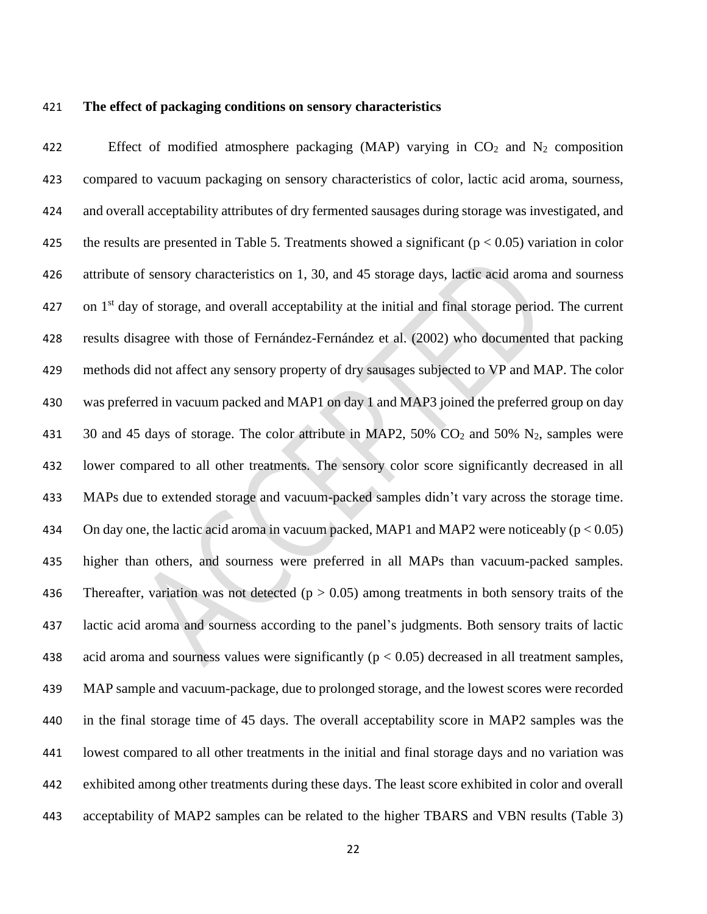#### **The effect of packaging conditions on sensory characteristics**

422 Effect of modified atmosphere packaging (MAP) varying in  $CO<sub>2</sub>$  and N<sub>2</sub> composition compared to vacuum packaging on sensory characteristics of color, lactic acid aroma, sourness, and overall acceptability attributes of dry fermented sausages during storage was investigated, and 425 the results are presented in Table 5. Treatments showed a significant ( $p < 0.05$ ) variation in color attribute of sensory characteristics on 1, 30, and 45 storage days, lactic acid aroma and sourness 427 on 1<sup>st</sup> day of storage, and overall acceptability at the initial and final storage period. The current results disagree with those of Fernández-Fernández et al. (2002) who documented that packing 429 methods did not affect any sensory property of dry sausages subjected to VP and MAP. The color was preferred in vacuum packed and MAP1 on day 1 and MAP3 joined the preferred group on day 431 30 and 45 days of storage. The color attribute in MAP2,  $50\%$  CO<sub>2</sub> and  $50\%$  N<sub>2</sub>, samples were lower compared to all other treatments. The sensory color score significantly decreased in all MAPs due to extended storage and vacuum-packed samples didn't vary across the storage time. 434 On day one, the lactic acid aroma in vacuum packed, MAP1 and MAP2 were noticeably ( $p < 0.05$ ) higher than others, and sourness were preferred in all MAPs than vacuum-packed samples. 436 Thereafter, variation was not detected ( $p > 0.05$ ) among treatments in both sensory traits of the lactic acid aroma and sourness according to the panel's judgments. Both sensory traits of lactic 438 acid aroma and sourness values were significantly  $(p < 0.05)$  decreased in all treatment samples, MAP sample and vacuum-package, due to prolonged storage, and the lowest scores were recorded in the final storage time of 45 days. The overall acceptability score in MAP2 samples was the lowest compared to all other treatments in the initial and final storage days and no variation was exhibited among other treatments during these days. The least score exhibited in color and overall acceptability of MAP2 samples can be related to the higher TBARS and VBN results (Table 3)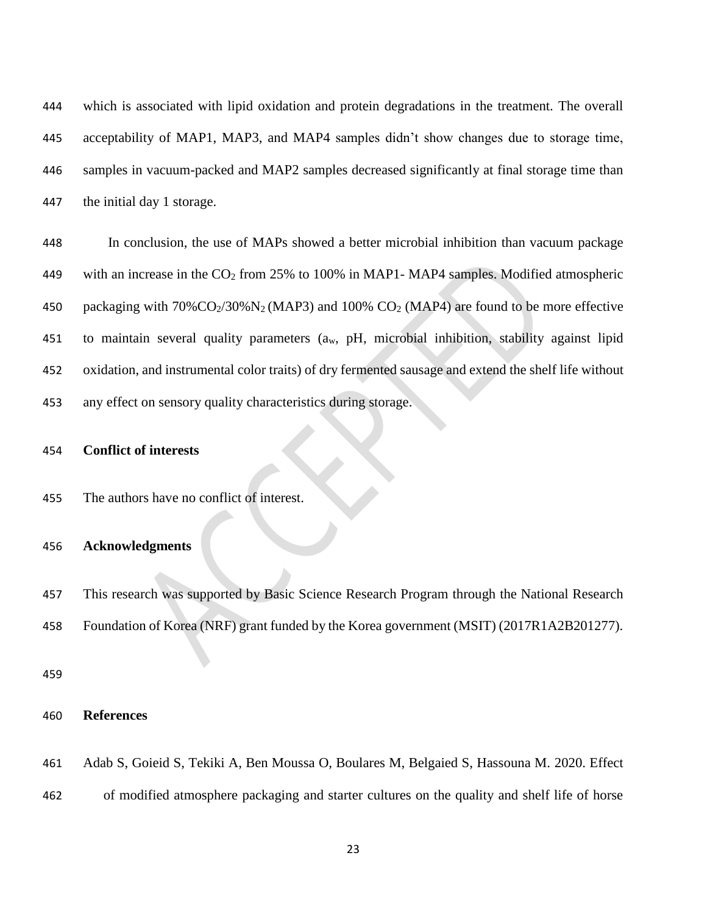which is associated with lipid oxidation and protein degradations in the treatment. The overall acceptability of MAP1, MAP3, and MAP4 samples didn't show changes due to storage time, samples in vacuum-packed and MAP2 samples decreased significantly at final storage time than the initial day 1 storage.

 In conclusion, the use of MAPs showed a better microbial inhibition than vacuum package 449 with an increase in the CO<sub>2</sub> from 25% to 100% in MAP1-MAP4 samples. Modified atmospheric 450 packaging with  $70\% \text{CO}_2/30\% \text{N}_2$  (MAP3) and 100%  $\text{CO}_2$  (MAP4) are found to be more effective to maintain several quality parameters (aw, pH, microbial inhibition, stability against lipid oxidation, and instrumental color traits) of dry fermented sausage and extend the shelf life without any effect on sensory quality characteristics during storage.

### **Conflict of interests**

The authors have no conflict of interest.

### **Acknowledgments**

 This research was supported by Basic Science Research Program through the National Research Foundation of Korea (NRF) grant funded by the Korea government (MSIT) (2017R1A2B201277).

### **References**

 Adab S, Goieid S, Tekiki A, Ben Moussa O, Boulares M, Belgaied S, Hassouna M. 2020. Effect of modified atmosphere packaging and starter cultures on the quality and shelf life of horse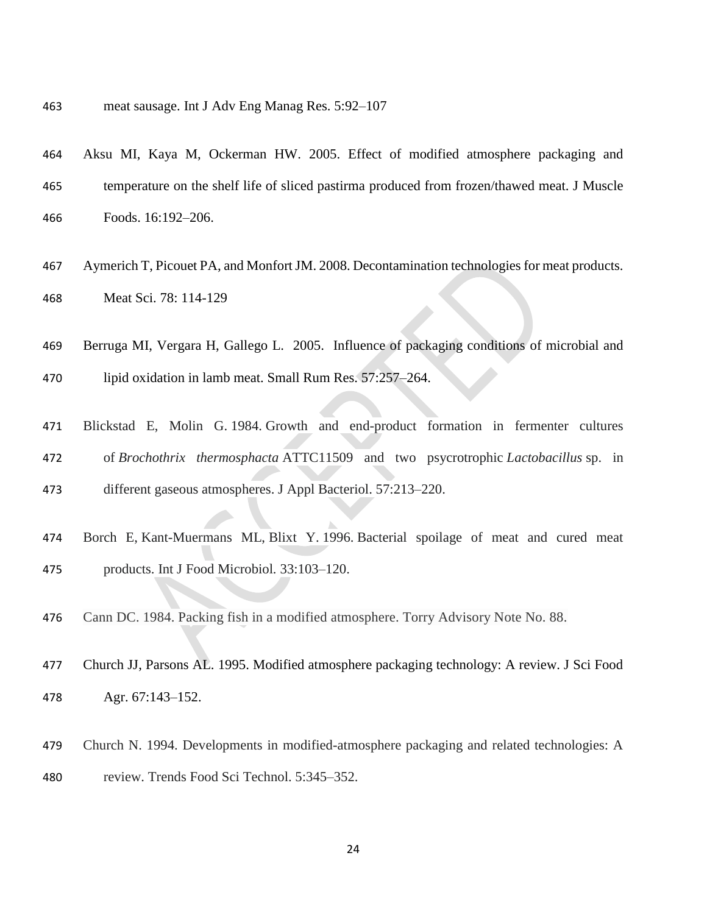meat sausage. Int J Adv Eng Manag Res. 5:92–107

- Aksu MI, Kaya M, Ockerman HW. 2005. Effect of modified atmosphere packaging and temperature on the shelf life of sliced pastirma produced from frozen/thawed meat. J Muscle Foods. 16:192–206.
- Aymerich T, Picouet PA, and Monfort JM. 2008. Decontamination technologies for meat products. Meat Sci. 78: 114-129
- Berruga MI, Vergara H, Gallego L. 2005. Influence of packaging conditions of microbial and lipid oxidation in lamb meat. Small Rum Res. 57:257–264.
- Blickstad E, Molin G. 1984. Growth and end-product formation in fermenter cultures of *Brochothrix thermosphacta* ATTC11509 and two psycrotrophic *Lactobacillus* sp. in different gaseous atmospheres. J Appl Bacteriol. 57:213–220.
- Borch E, Kant-Muermans ML, Blixt Y. 1996. Bacterial spoilage of meat and cured meat products. Int J Food Microbiol*.* 33:103–120.
- Cann DC. 1984. Packing fish in a modified atmosphere. Torry Advisory Note No. 88.
- Church JJ, Parsons AL. 1995. Modified atmosphere packaging technology: A review. J Sci Food Agr. 67:143–152.
- Church N. 1994. Developments in modified-atmosphere packaging and related technologies: A review. Trends Food Sci Technol. 5:345–352.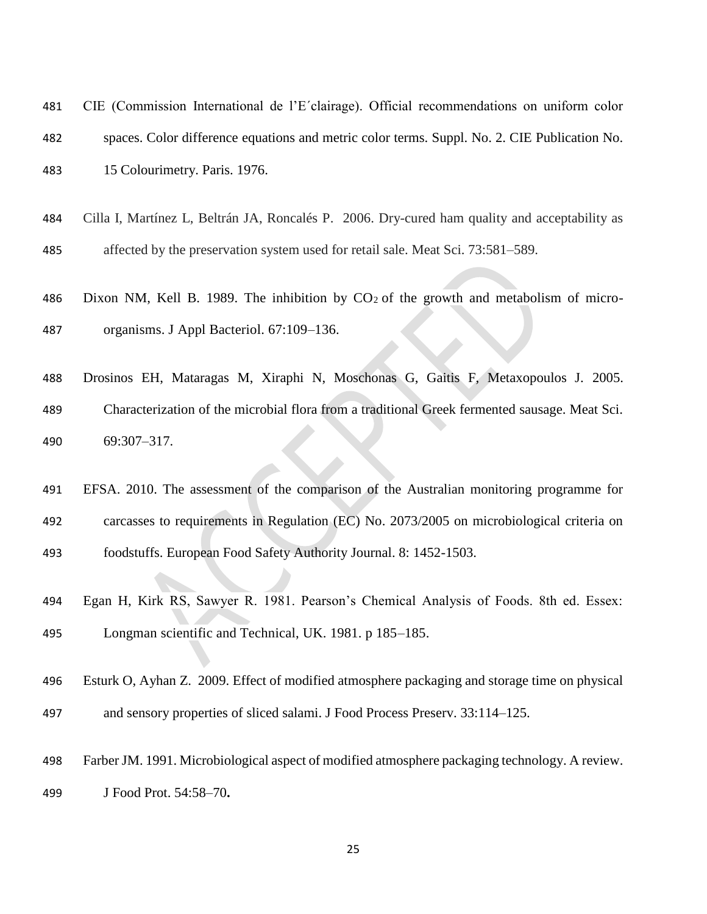| 481  | CIE (Commission International de l'E'clairage). Official recommendations on uniform color    |
|------|----------------------------------------------------------------------------------------------|
| 482. | spaces. Color difference equations and metric color terms. Suppl. No. 2. CIE Publication No. |
| 483. | 15 Colourimetry. Paris. 1976.                                                                |
|      |                                                                                              |

- Cilla I, Martínez L, Beltrán JA, Roncalés P. 2006. Dry-cured ham quality and acceptability as affected by the preservation system used for retail sale. Meat Sci. 73:581–589.
- 486 Dixon NM, Kell B. 1989. The inhibition by  $CO<sub>2</sub>$  of the growth and metabolism of micro-organisms. J Appl Bacteriol. 67:109–136.
- Drosinos EH, Mataragas M, Xiraphi N, Moschonas G, Gaitis F, Metaxopoulos J. 2005. Characterization of the microbial flora from a traditional Greek fermented sausage. Meat Sci. 69:307–317.
- EFSA. 2010. The assessment of the comparison of the Australian monitoring programme for carcasses to requirements in Regulation (EC) No. 2073/2005 on microbiological criteria on foodstuffs. European Food Safety Authority Journal. 8: 1452-1503.
- Egan H, Kirk RS, Sawyer R. 1981. Pearson's Chemical Analysis of Foods. 8th ed. Essex: Longman scientific and Technical, UK. 1981. p 185–185.
- Esturk O, Ayhan Z. 2009. Effect of modified atmosphere packaging and storage time on physical and sensory properties of sliced salami. J Food Process Preserv. 33:114–125.
- Farber JM. 1991. Microbiological aspect of modified atmosphere packaging technology. A review. J Food Prot. 54:58–70**.**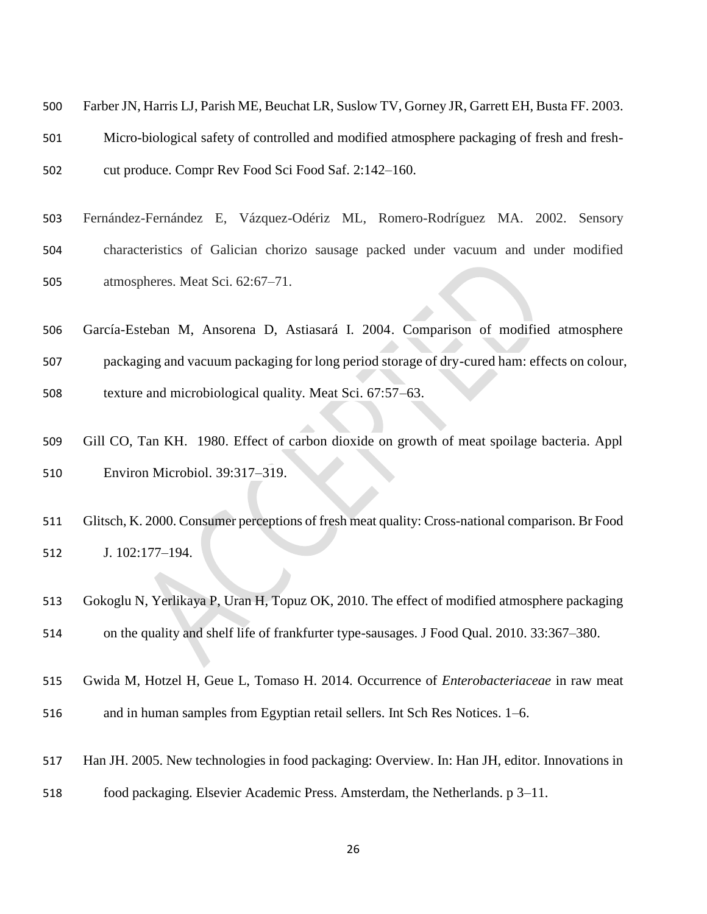| 500 | Farber JN, Harris LJ, Parish ME, Beuchat LR, Suslow TV, Gorney JR, Garrett EH, Busta FF. 2003. |
|-----|------------------------------------------------------------------------------------------------|
| 501 | Micro-biological safety of controlled and modified atmosphere packaging of fresh and fresh-    |
| 502 | cut produce. Compr Rev Food Sci Food Saf. 2:142–160.                                           |

- Fernández-Fernández E, Vázquez-Odériz ML, Romero-Rodríguez MA. 2002. Sensory characteristics of Galician chorizo sausage packed under vacuum and under modified atmospheres. Meat Sci. 62:67–71.
- García-Esteban M, Ansorena D, Astiasará I. 2004. Comparison of modified atmosphere packaging and vacuum packaging for long period storage of dry-cured ham: effects on colour, texture and microbiological quality. Meat Sci. 67:57–63.
- Gill CO, Tan KH. 1980. Effect of carbon dioxide on growth of meat spoilage bacteria. Appl Environ Microbiol. 39:317–319.
- Glitsch, K. 2000. Consumer perceptions of fresh meat quality: Cross-national comparison. Br Food J. 102:177–194.
- Gokoglu N, Yerlikaya P, Uran H, Topuz OK, 2010. The effect of modified atmosphere packaging on the quality and shelf life of frankfurter type-sausages. J Food Qual. 2010. 33:367–380.
- Gwida M, Hotzel H, Geue L, Tomaso H. 2014. Occurrence of *Enterobacteriaceae* in raw meat
- and in human samples from Egyptian retail sellers. Int Sch Res Notices. 1–6.
- Han JH. 2005. New technologies in food packaging: Overview. In: Han JH, editor. Innovations in
- food packaging. Elsevier Academic Press. Amsterdam, the Netherlands. p 3–11.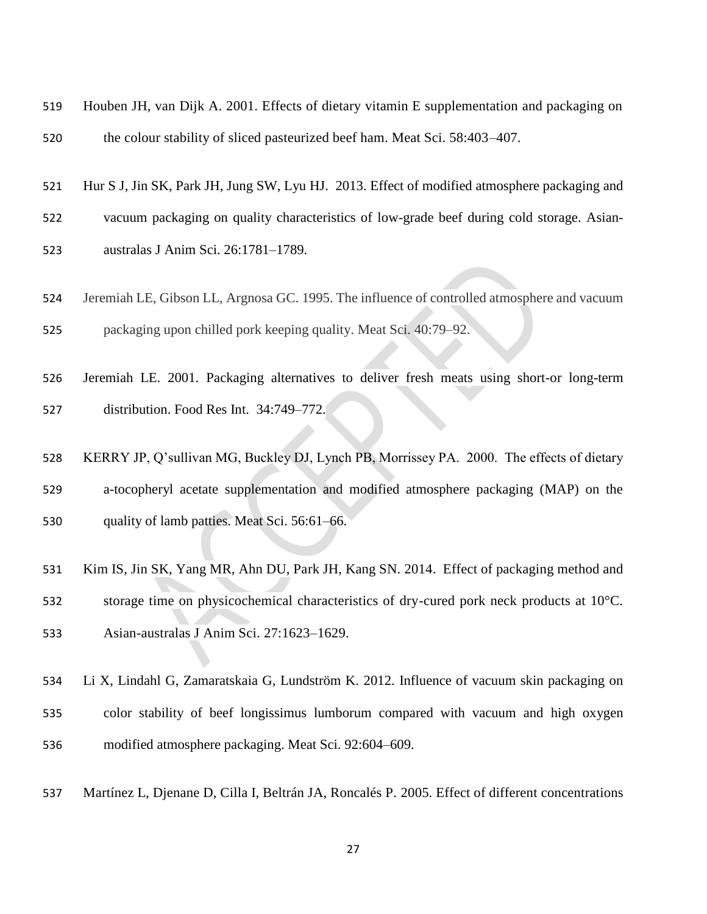| 519 | Houben JH, van Dijk A. 2001. Effects of dietary vitamin E supplementation and packaging on |
|-----|--------------------------------------------------------------------------------------------|
| 520 | the colour stability of sliced pasteurized beef ham. Meat Sci. 58:403-407.                 |

- Hur S J, Jin SK, Park JH, Jung SW, Lyu HJ. 2013. Effect of modified atmosphere packaging and
- vacuum packaging on quality characteristics of low-grade beef during cold storage. Asian-
- australas J Anim Sci. 26:1781–1789.
- Jeremiah LE, Gibson LL, Argnosa GC. 1995. The influence of controlled atmosphere and vacuum packaging upon chilled pork keeping quality. Meat Sci. 40:79–92.
- Jeremiah LE. 2001. Packaging alternatives to deliver fresh meats using short-or long-term distribution. Food Res Int. 34:749–772.
- KERRY JP, Q'sullivan MG, Buckley DJ, Lynch PB, Morrissey PA. 2000. The effects of dietary a-tocopheryl acetate supplementation and modified atmosphere packaging (MAP) on the quality of lamb patties. Meat Sci. 56:61–66.
- Kim IS, Jin SK, Yang MR, Ahn DU, Park JH, Kang SN. 2014. Effect of packaging method and storage time on physicochemical characteristics of dry-cured pork neck products at 10°C. Asian-australas J Anim Sci. 27:1623–1629.
- Li X, Lindahl G, Zamaratskaia G, Lundström K. 2012. Influence of vacuum skin packaging on color stability of beef longissimus lumborum compared with vacuum and high oxygen modified atmosphere packaging. Meat Sci. 92:604–609.
- Martínez L, Djenane D, Cilla I, Beltrán JA, Roncalés P. 2005. Effect of different concentrations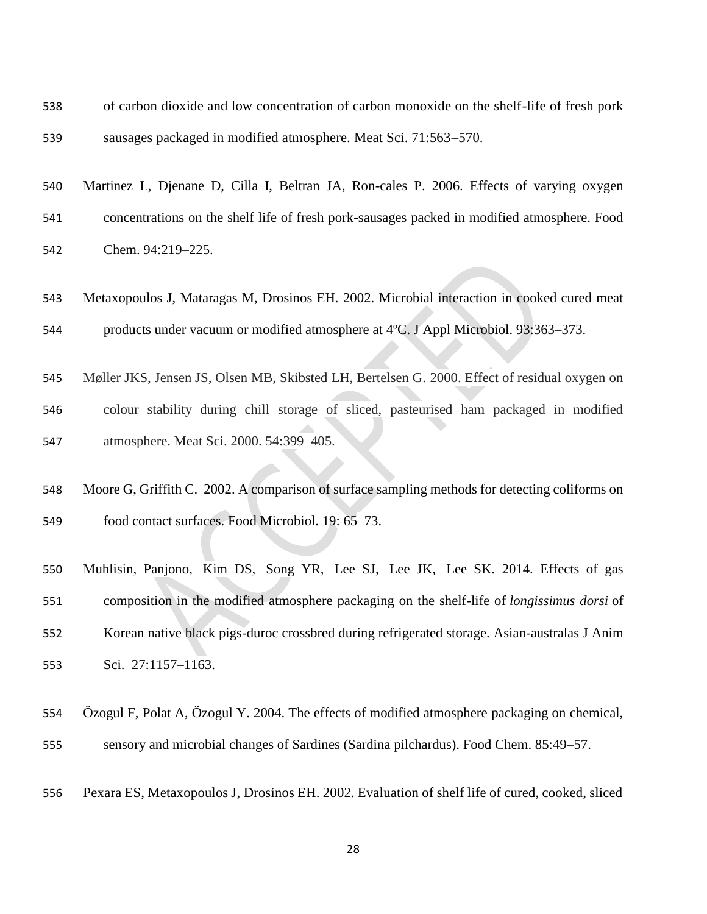| 538 | of carbon dioxide and low concentration of carbon monoxide on the shelf-life of fresh pork      |
|-----|-------------------------------------------------------------------------------------------------|
| 539 | sausages packaged in modified atmosphere. Meat Sci. 71:563-570.                                 |
| 540 | Martinez L, Djenane D, Cilla I, Beltran JA, Ron-cales P. 2006. Effects of varying oxygen        |
| 541 | concentrations on the shelf life of fresh pork-sausages packed in modified atmosphere. Food     |
| 542 | Chem. 94:219-225.                                                                               |
| 543 | Metaxopoulos J, Mataragas M, Drosinos EH. 2002. Microbial interaction in cooked cured meat      |
| 544 | products under vacuum or modified atmosphere at 4°C. J Appl Microbiol. 93:363–373.              |
| 545 | Møller JKS, Jensen JS, Olsen MB, Skibsted LH, Bertelsen G. 2000. Effect of residual oxygen on   |
| 546 | colour stability during chill storage of sliced, pasteurised ham packaged in modified           |
| 547 | atmosphere. Meat Sci. 2000. 54:399-405.                                                         |
| 548 | Moore G, Griffith C. 2002. A comparison of surface sampling methods for detecting coliforms on  |
| 549 | food contact surfaces. Food Microbiol. 19: 65-73.                                               |
| 550 | Muhlisin, Panjono, Kim DS, Song YR, Lee SJ, Lee JK, Lee SK. 2014. Effects of gas                |
| 551 | composition in the modified atmosphere packaging on the shelf-life of longissimus dorsi of      |
| 552 | Korean native black pigs-duroc crossbred during refrigerated storage. Asian-australas J Anim    |
| 553 | Sci. 27:1157-1163.                                                                              |
| 554 | Ö zogul F, Polat A, Ö zogul Y. 2004. The effects of modified atmosphere packaging on chemical,  |
| 555 | sensory and microbial changes of Sardines (Sardina pilchardus). Food Chem. 85:49–57.            |
| 556 | Pexara ES, Metaxopoulos J, Drosinos EH. 2002. Evaluation of shelf life of cured, cooked, sliced |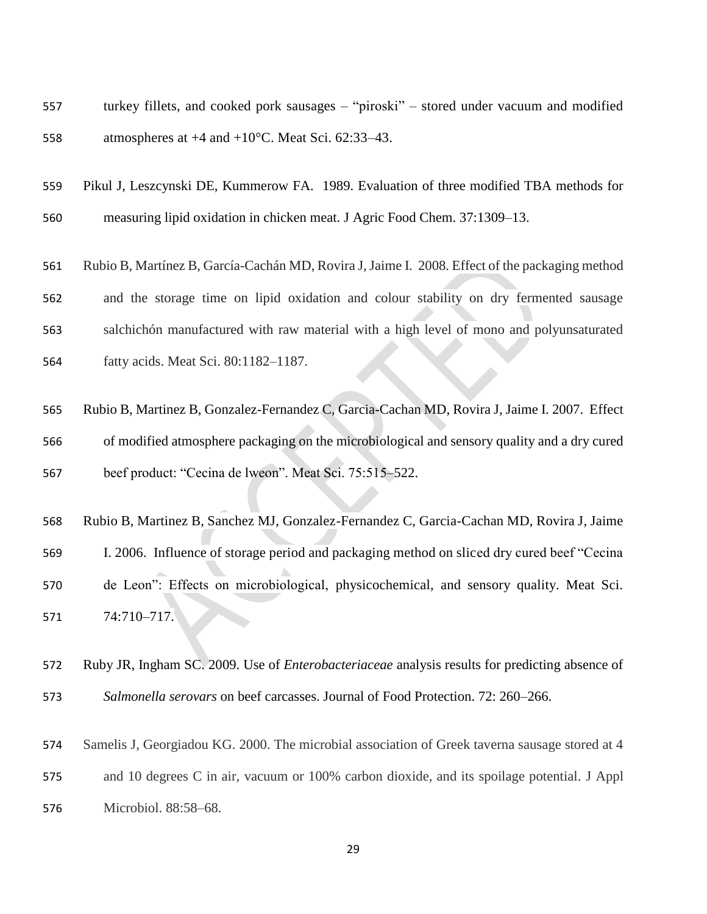| 557 | turkey fillets, and cooked pork sausages – "piroski" – stored under vacuum and modified               |
|-----|-------------------------------------------------------------------------------------------------------|
| 558 | atmospheres at $+4$ and $+10^{\circ}$ C. Meat Sci. 62:33-43.                                          |
| 559 | Pikul J, Leszcynski DE, Kummerow FA. 1989. Evaluation of three modified TBA methods for               |
| 560 | measuring lipid oxidation in chicken meat. J Agric Food Chem. 37:1309–13.                             |
| 561 | Rubio B, Mart ínez B, Garc ía-Cachán MD, Rovira J, Jaime I. 2008. Effect of the packaging method      |
| 562 | and the storage time on lipid oxidation and colour stability on dry fermented sausage                 |
| 563 | salchichón manufactured with raw material with a high level of mono and polyunsaturated               |
| 564 | fatty acids. Meat Sci. 80:1182-1187.                                                                  |
| 565 | Rubio B, Martinez B, Gonzalez-Fernandez C, Garcia-Cachan MD, Rovira J, Jaime I. 2007. Effect          |
| 566 | of modified atmosphere packaging on the microbiological and sensory quality and a dry cured           |
| 567 | beef product: "Cecina de lweon". Meat Sci. 75:515-522.                                                |
| 568 | Rubio B, Martinez B, Sanchez MJ, Gonzalez-Fernandez C, Garcia-Cachan MD, Rovira J, Jaime              |
| 569 | I. 2006. Influence of storage period and packaging method on sliced dry cured beef "Cecina            |
| 570 | de Leon": Effects on microbiological, physicochemical, and sensory quality. Meat Sci.                 |
| 571 | 74:710-717.                                                                                           |
| 572 | Ruby JR, Ingham SC. 2009. Use of <i>Enterobacteriaceae</i> analysis results for predicting absence of |
| 573 | Salmonella serovars on beef carcasses. Journal of Food Protection. 72: 260–266.                       |
| 574 | Samelis J, Georgiadou KG. 2000. The microbial association of Greek taverna sausage stored at 4        |
| 575 | and 10 degrees C in air, vacuum or 100% carbon dioxide, and its spoilage potential. J Appl            |
| 576 | Microbiol. 88:58-68.                                                                                  |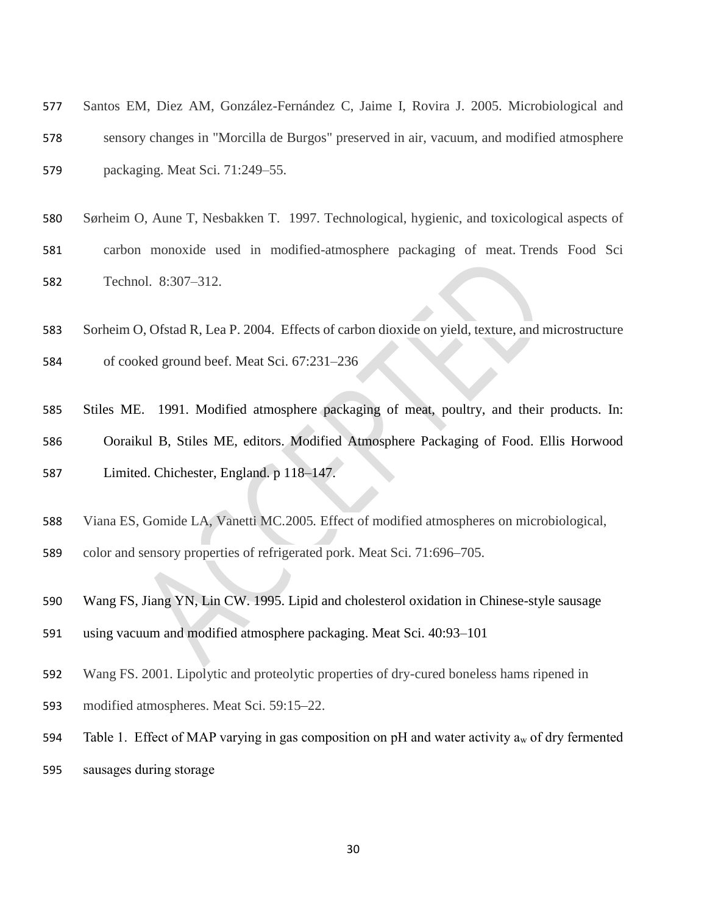- Santos EM, Diez AM, González-Fernández C, Jaime I, Rovira J. 2005. Microbiological and sensory changes in "Morcilla de Burgos" preserved in air, vacuum, and modified atmosphere packaging. Meat Sci. 71:249–55.
- Sørheim O, Aune T, Nesbakken T. 1997. Technological, hygienic, and toxicological aspects of carbon monoxide used in modified-atmosphere packaging of meat. Trends Food Sci Technol. 8:307–312.
- Sorheim O, Ofstad R, Lea P. 2004. Effects of carbon dioxide on yield, texture, and microstructure
- of cooked ground beef. Meat Sci. 67:231–236
- Stiles ME. 1991. Modified atmosphere packaging of meat, poultry, and their products. In:
- Ooraikul B, Stiles ME, editors. Modified Atmosphere Packaging of Food. Ellis Horwood
- Limited. Chichester, England. p 118–147.
- Viana ES, Gomide LA, Vanetti MC*.*2005*.* Effect of modified atmospheres on microbiological,
- color and sensory properties of refrigerated pork. Meat Sci. 71:696–705.
- Wang FS, Jiang YN, Lin CW. 1995. Lipid and cholesterol oxidation in Chinese-style sausage using vacuum and modified atmosphere packaging. Meat Sci. 40:93–101
- Wang FS. 2001. Lipolytic and proteolytic properties of dry-cured boneless hams ripened in
- modified atmospheres. Meat Sci. 59:15–22.
- 594 Table 1. Effect of MAP varying in gas composition on pH and water activity  $a_w$  of dry fermented
- sausages during storage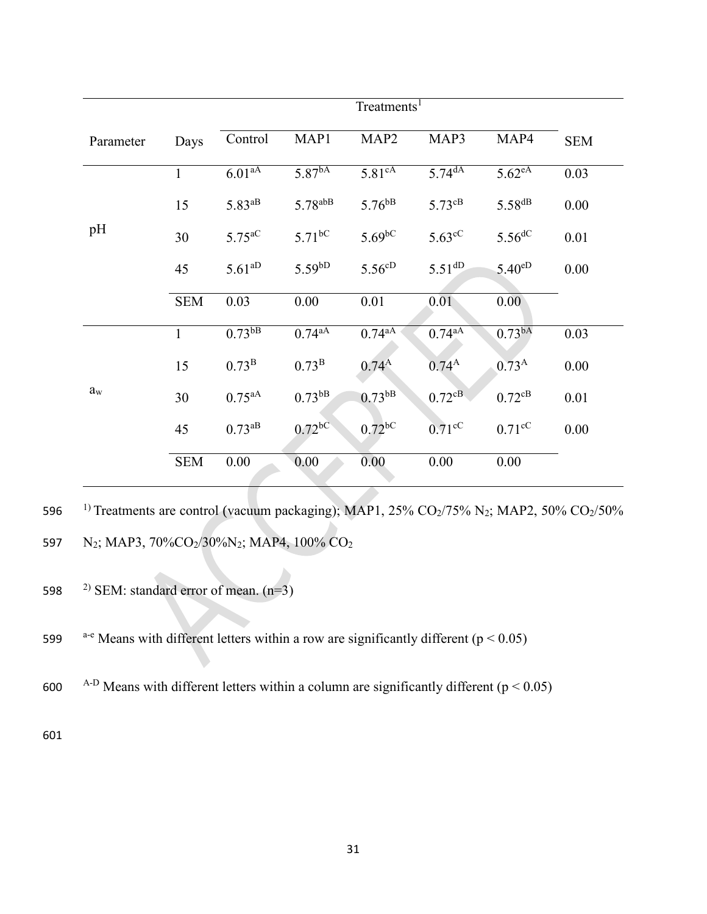|           |              |                      |                       | Treatments <sup>1</sup> |                      |                      |            |
|-----------|--------------|----------------------|-----------------------|-------------------------|----------------------|----------------------|------------|
| Parameter | Days         | Control              | MAP1                  | MAP <sub>2</sub>        | MAP3                 | MAP4                 | <b>SEM</b> |
|           | $\mathbf{1}$ | 6.01 <sup>aA</sup>   | 5.87 <sup>bA</sup>    | 5.81 <sup>cA</sup>      | $5.74^{dA}$          | $5.62^{\text{eA}}$   | 0.03       |
|           | 15           | $5.83^{aB}$          | $5.78$ <sup>abB</sup> | 5.76 <sup>bB</sup>      | $5.73^{cB}$          | $5.58$ <sup>dB</sup> | 0.00       |
| pH        | 30           | $5.75$ <sup>aC</sup> | $5.71^{bC}$           | $5.69^{bC}$             | $5.63\text{°C}$      | $5.56$ <sup>dC</sup> | 0.01       |
|           | 45           | $5.61^{aD}$          | 5.59 <sup>bD</sup>    | $5.56^{cD}$             | $5.51^{dD}$          | $5.40^{eD}$          | 0.00       |
|           | <b>SEM</b>   | 0.03                 | 0.00                  | 0.01                    | 0.01                 | 0.00                 |            |
|           | $\mathbf{1}$ | $0.73^{bB}$          | $0.74^{aA}$           | 0.74 <sup>aA</sup>      | $0.74^{aA}$          | $0.73^{bA}$          | 0.03       |
|           | 15           | 0.73 <sup>B</sup>    | 0.73 <sup>B</sup>     | $0.74^{A}$              | $0.74^{A}$           | $0.73^{A}$           | 0.00       |
| $a_{w}$   | 30           | $0.75$ <sup>aA</sup> | $0.73^{bB}$           | $0.73^{bB}$             | $0.72$ <sup>cB</sup> | $0.72$ <sup>cB</sup> | 0.01       |
|           | 45           | $0.73^{aB}$          | $0.72$ <sup>bC</sup>  | $0.72$ <sub>bC</sub>    | $0.71$ <sup>cC</sup> | $0.71^{\circ}$ C     | 0.00       |
|           | <b>SEM</b>   | 0.00                 | 0.00                  | 0.00                    | 0.00                 | 0.00                 |            |

596 <sup>1)</sup> Treatments are control (vacuum packaging); MAP1, 25% CO<sub>2</sub>/75% N<sub>2</sub>; MAP2, 50% CO<sub>2</sub>/50% 597 N<sub>2</sub>; MAP3, 70%CO<sub>2</sub>/30%N<sub>2</sub>; MAP4, 100% CO<sub>2</sub>

598  $\frac{2}{3}$  SEM: standard error of mean. (n=3)

599 a<sup>-e</sup> Means with different letters within a row are significantly different ( $p < 0.05$ )

600 A-D Means with different letters within a column are significantly different ( $p < 0.05$ )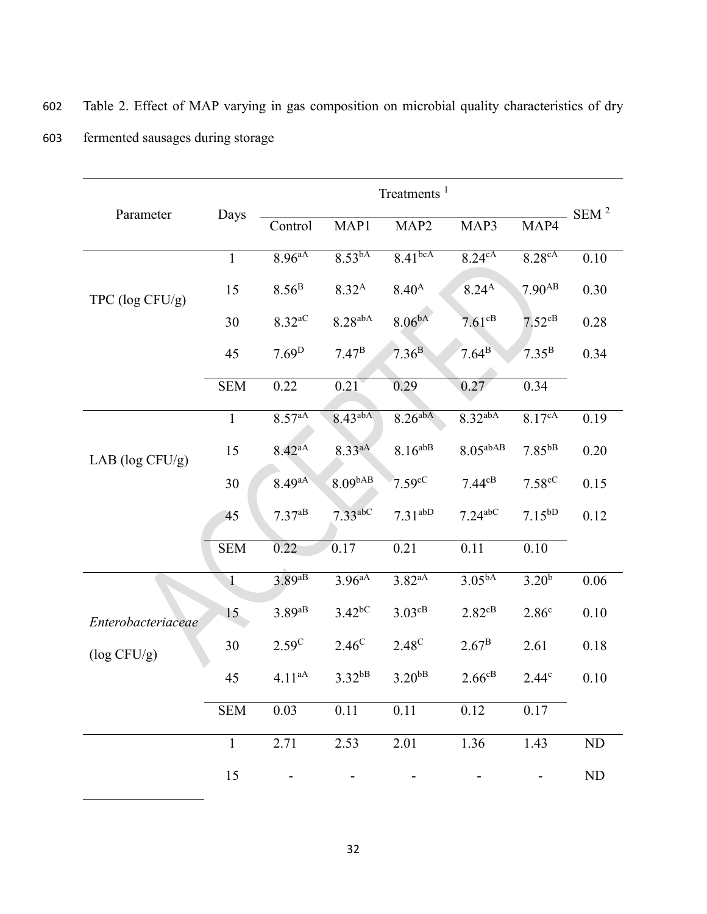|                     |                |                      |                        | Treatments <sup>1</sup> |                      |                      |         |
|---------------------|----------------|----------------------|------------------------|-------------------------|----------------------|----------------------|---------|
| Parameter           | Days           | Control              | MAP1                   | MAP <sub>2</sub>        | MAP3                 | MAP4                 | $SEM^2$ |
|                     | $\mathbf{1}$   | 8.96aA               | $8.\overline{53^{bA}}$ | 8.41 <sup>bcA</sup>     | $8.24^{\text{cA}}$   | 8.28 <sup>cA</sup>   | 0.10    |
| TPC (log CFU/g)     | 15             | 8.56 <sup>B</sup>    | $8.32^{A}$             | $8.40^{A}$              | $8.24^{A}$           | $7.90^{AB}$          | 0.30    |
|                     | 30             | $8.32$ <sup>aC</sup> | $8.28^{abA}$           | 8.06 <sup>bA</sup>      | $7.61$ <sup>cB</sup> | $7.52$ <sup>cB</sup> | 0.28    |
|                     | 45             | 7.69 <sup>D</sup>    | $7.47^{\rm B}$         | 7.36 <sup>B</sup>       | $7.64^{\rm B}$       | $7.35^{\mathrm{B}}$  | 0.34    |
|                     | <b>SEM</b>     | 0.22                 | 0.21                   | 0.29                    | 0.27                 | 0.34                 |         |
|                     | $\overline{1}$ | 8.57 <sup>aA</sup>   | $8.43^{abA}$           | $8.26$ <sup>abA</sup>   | 8.32 <sup>abA</sup>  | 8.17 <sup>cA</sup>   | 0.19    |
| LAB ( $log CFU/g$ ) | 15             | 8.42 <sup>aA</sup>   | 8.33aA                 | $8.16^{abB}$            | 8.05 <sup>abAB</sup> | $7.85^{bB}$          | 0.20    |
|                     | 30             | 8.49 <sup>aA</sup>   | 8.09 <sup>bAB</sup>    | $7.59$ c $C$            | $7.44$ <sup>cB</sup> | $7.58$ cC            | 0.15    |
|                     | 45             | $7.37^{aB}$          | 7.33 <sup>abc</sup>    | 7.31 <sup>abD</sup>     | $7.24$ abC           | $7.15^{bD}$          | 0.12    |
|                     | <b>SEM</b>     | 0.22                 | 0.17                   | 0.21                    | 0.11                 | 0.10                 |         |
|                     | $\mathbf{1}$   | 3.89aB               | 3.96 <sup>aA</sup>     | $3.82^{aA}$             | 3.05 <sup>bA</sup>   | $3.20^{b}$           | 0.06    |
| Enterobacteriaceae  | 15             | 3.89aB               | $3.42^{bC}$            | $3.03^{\text{cB}}$      | $2.82\text{dB}$      | 2.86 <sup>c</sup>    | 0.10    |
| $(\log CFU/g)$      | 30             | $2.59^{\circ}$       | $2.46^{\circ}$         | $2.48^{\circ}$          | $2.67^{\rm B}$       | 2.61                 | 0.18    |
|                     | 45             | $4.11^{aA}$          | $3.32^{bB}$            | 3.20 <sup>bB</sup>      | $2.66^{cB}$          | 2.44 <sup>c</sup>    | 0.10    |
|                     | <b>SEM</b>     | 0.03                 | 0.11                   | 0.11                    | 0.12                 | 0.17                 |         |
|                     | $\mathbf{1}$   | 2.71                 | 2.53                   | 2.01                    | 1.36                 | 1.43                 | ND      |
|                     | 15             |                      |                        |                         |                      |                      | ND      |

602 Table 2. Effect of MAP varying in gas composition on microbial quality characteristics of dry 603 fermented sausages during storage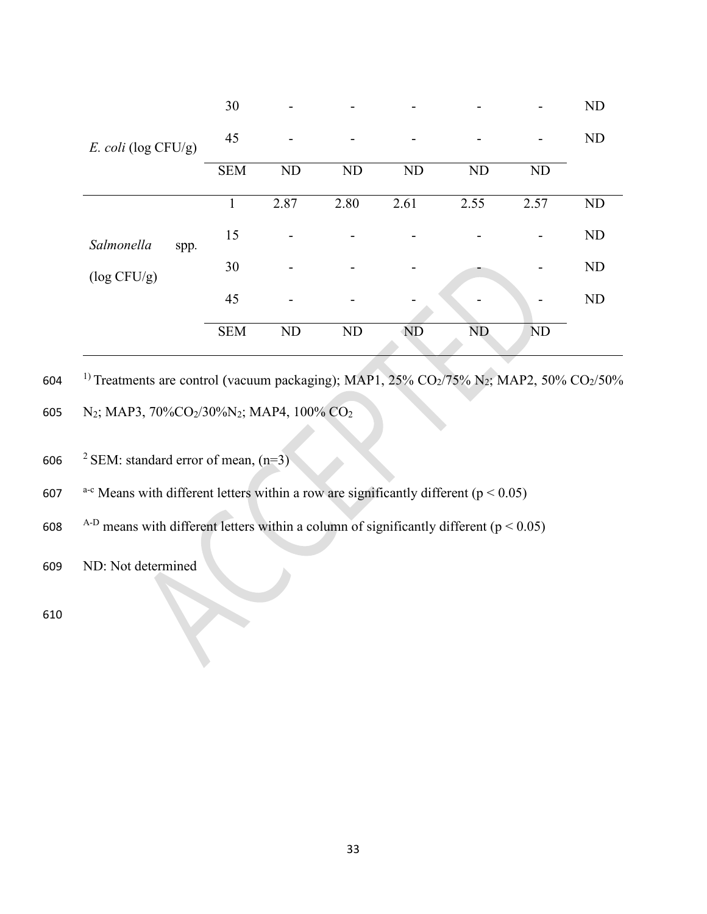|                     | 30           |      |      |           |           |           | <b>ND</b> |
|---------------------|--------------|------|------|-----------|-----------|-----------|-----------|
| E. coli (log CFU/g) | 45           |      |      |           |           |           | <b>ND</b> |
|                     | <b>SEM</b>   | ND   | ND   | <b>ND</b> | <b>ND</b> | ND        |           |
|                     | $\mathbf{1}$ | 2.87 | 2.80 | 2.61      | 2.55      | 2.57      | ND        |
| Salmonella<br>spp.  | 15           |      |      |           |           |           | <b>ND</b> |
| $(\log CFU/g)$      | 30           |      |      |           |           |           | <b>ND</b> |
|                     | 45           |      |      |           |           |           | ND        |
|                     | <b>SEM</b>   | ND   | ND   | <b>ND</b> | <b>ND</b> | <b>ND</b> |           |

604 <sup>1)</sup> Treatments are control (vacuum packaging); MAP1, 25% CO<sub>2</sub>/75% N<sub>2</sub>; MAP2, 50% CO<sub>2</sub>/50%

605 N2; MAP3, 70%CO2/30%N2; MAP4, 100% CO<sup>2</sup>

- 606 <sup>2</sup> SEM: standard error of mean,  $(n=3)$
- 607 a<sup>-c</sup> Means with different letters within a row are significantly different ( $p < 0.05$ )
- 608 A-D means with different letters within a column of significantly different ( $p < 0.05$ )
- 609 ND: Not determined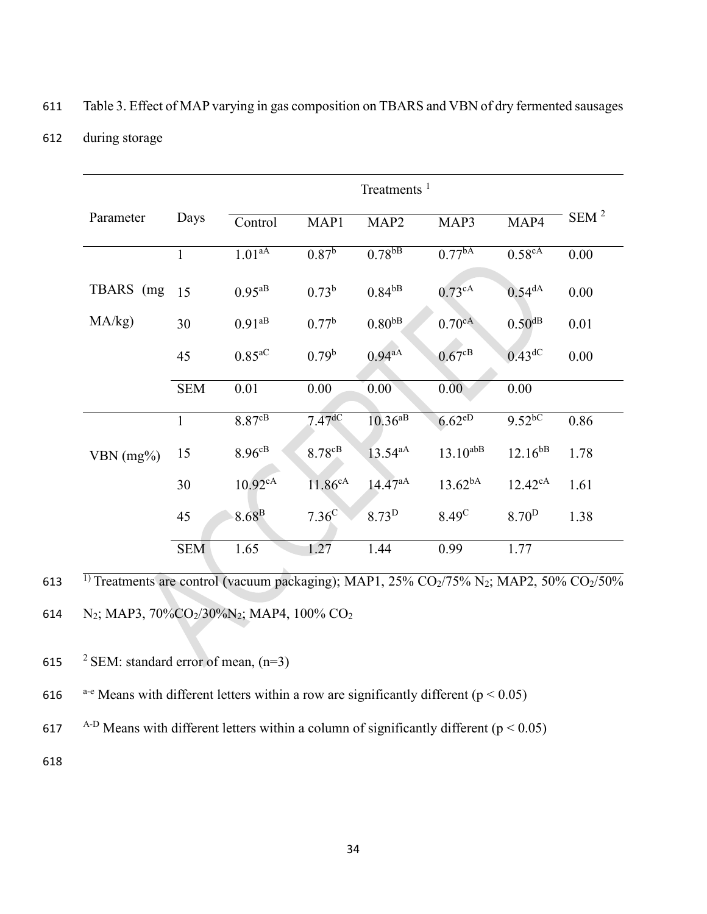## 611 Table 3. Effect of MAP varying in gas composition on TBARS and VBN of dry fermented sausages

### 612 during storage

|           |              |                       |                            | Treatments <sup>1</sup> |                      |                      |                  |
|-----------|--------------|-----------------------|----------------------------|-------------------------|----------------------|----------------------|------------------|
| Parameter | Days         | Control               | MAP1                       | MAP <sub>2</sub>        | MAP3                 | MAP4                 | SEM <sup>2</sup> |
|           | $\mathbf{1}$ | 1.01 <sup>aA</sup>    | 0.87 <sup>b</sup>          | $0.78^{bB}$             | 0.77 <sup>bA</sup>   | 0.58 <sup>cA</sup>   | 0.00             |
| TBARS (mg | 15           | $0.95^{aB}$           | $0.73^{b}$                 | $0.84^{bB}$             | $0.73^{\text{cA}}$   | $0.54^{dA}$          | 0.00             |
| MA/kg)    | 30           | $0.91^{aB}$           | $0.77^{\rm b}$             | $0.80^{bB}$             | 0.70 <sup>cA</sup>   | $0.50^{dB}$          | 0.01             |
|           | 45           | $0.85$ <sup>aC</sup>  | 0.79 <sup>b</sup>          | 0.94aA                  | $0.67$ <sup>cB</sup> | $0.43$ <sup>dC</sup> | 0.00             |
|           | <b>SEM</b>   | 0.01                  | 0.00                       | 0.00                    | 0.00                 | 0.00                 |                  |
|           | $\mathbf{1}$ | 8.87 <sup>cB</sup>    | $7.47$ <sup>dC</sup>       | $10.36^{aB}$            | $6.62^{eD}$          | $9.52^{bC}$          | 0.86             |
| VBN (mg%) | 15           | $8.96^{cB}$           | $8.78\textsuperscript{cB}$ | $13.54^{aA}$            | $13.10^{abB}$        | $12.16^{bB}$         | 1.78             |
|           | 30           | $10.92$ <sup>cA</sup> | $11.86^{cA}$               | $14.47^{aA}$            | 13.62 <sup>bA</sup>  | $12.42^{\text{cA}}$  | 1.61             |
|           | 45           | 8.68 <sup>B</sup>     | $7.36^{\circ}$             | 8.73 <sup>D</sup>       | 8.49 <sup>C</sup>    | 8.70 <sup>D</sup>    | 1.38             |
|           | <b>SEM</b>   | 1.65                  | 1.27                       | 1.44                    | 0.99                 | 1.77                 |                  |

<sup>613</sup> Treatments are control (vacuum packaging); MAP1, 25% CO<sub>2</sub>/75% N<sub>2</sub>; MAP2, 50% CO<sub>2</sub>/50% 614 N2; MAP3, 70%CO2/30%N2; MAP4, 100% CO<sup>2</sup>

- 615 <sup>2</sup> SEM: standard error of mean,  $(n=3)$
- 616 <sup>a-e</sup> Means with different letters within a row are significantly different ( $p < 0.05$ )
- 617 A-D Means with different letters within a column of significantly different ( $p < 0.05$ )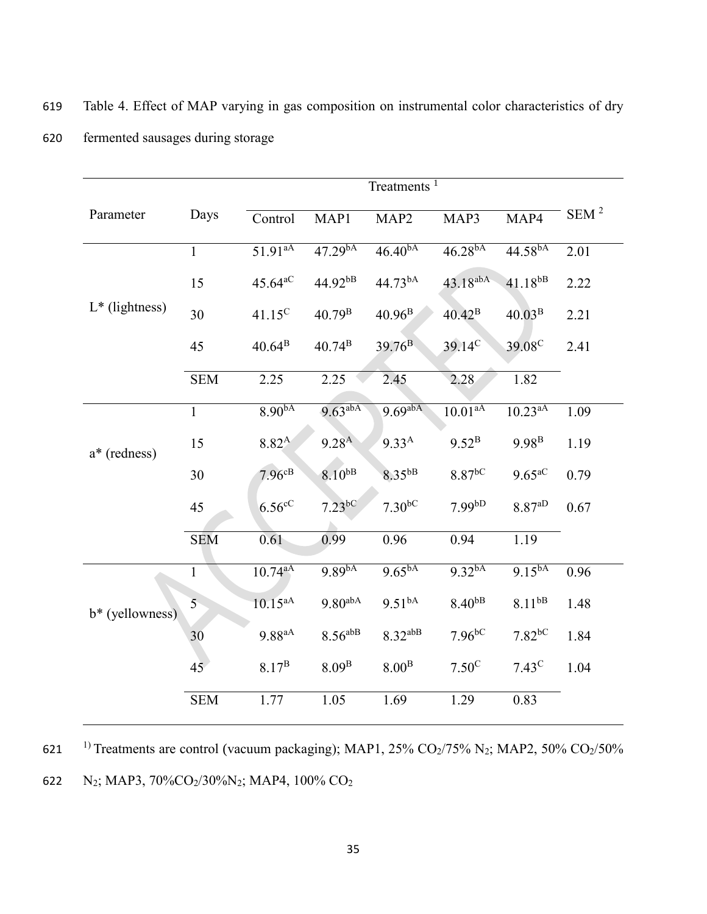|                   | Treatments <sup>1</sup> |                    |                       |                        |                      |                      |                   |
|-------------------|-------------------------|--------------------|-----------------------|------------------------|----------------------|----------------------|-------------------|
| Parameter         | Days                    | Control            | MAP1                  | MAP <sub>2</sub>       | MAP3                 | MAP4                 | $\mbox{SEM}$ $^2$ |
|                   | $\mathbf{1}$            | $51.91^{aA}$       | 47.29 <sup>bA</sup>   | $46.40^{bA}$           | $46.28^{bA}$         | $44.58^{bA}$         | 2.01              |
|                   | 15                      | $45.64^{aC}$       | $44.92^{bB}$          | $44.73^{bA}$           | 43.18 <sup>abA</sup> | $41.18^{bB}$         | 2.22              |
| $L^*$ (lightness) | 30                      | $41.15^{\circ}$    | $40.79^{B}$           | $40.96^{\rm B}$        | $40.42^{B}$          | 40.03 <sup>B</sup>   | 2.21              |
|                   | 45                      | $40.64^{\rm B}$    | $40.74^{B}$           | 39.76 <sup>B</sup>     | $39.14^{\circ}$      | 39.08 <sup>C</sup>   | 2.41              |
|                   | <b>SEM</b>              | 2.25               | 2.25                  | 2.45                   | 2.28                 | 1.82                 |                   |
|                   | $\overline{1}$          | 8.90 <sup>bA</sup> | $9.63$ <sup>abA</sup> | $9.69$ <sub>ab</sub> A | 10.01 <sup>aA</sup>  | $10.23^{aA}$         | 1.09              |
| a* (redness)      | 15                      | $8.82^{A}$         | $9.28^{A}$            | $9.33^{A}$             | $9.52^{B}$           | $9.98^{B}$           | 1.19              |
|                   | 30                      | $7.96^{cB}$        | $8.10^{bB}$           | 8.35bB                 | $8.87$ <sup>bC</sup> | $9.65$ <sup>aC</sup> | 0.79              |
|                   | 45                      | $6.56\text{°C}$    | $7.23^{bC}$           | $7.30^{bC}$            | 7.99 <sup>bD</sup>   | $8.87^{aD}$          | 0.67              |
|                   | <b>SEM</b>              | 0.61               | 0.99                  | 0.96                   | 0.94                 | 1.19                 |                   |
|                   | $\mathbf{1}$            | $10.74^{aA}$       | 9.89 <sup>bA</sup>    | 9.65 <sup>bA</sup>     | 9.32 <sup>bA</sup>   | $9.15^{bA}$          | 0.96              |
| b* (yellowness)   | $\overline{5}$          | $10.15^{aA}$       | $9.80^{abA}$          | 9.51 <sup>bA</sup>     | $8.40^{bB}$          | $8.11^{bB}$          | 1.48              |
|                   | 30                      | $9.88^{aA}$        | $8.56^{abB}$          | 8.32abB                | $7.96$ <sup>bC</sup> | $7.82^{bC}$          | 1.84              |
|                   | 45                      | $8.17^{\rm B}$     | 8.09 <sup>B</sup>     | 8.00 <sup>B</sup>      | 7.50 <sup>C</sup>    | 7.43 <sup>C</sup>    | 1.04              |
|                   | <b>SEM</b>              | 1.77               | 1.05                  | 1.69                   | 1.29                 | 0.83                 |                   |

619 Table 4. Effect of MAP varying in gas composition on instrumental color characteristics of dry 620 fermented sausages during storage

621 <sup>1)</sup> Treatments are control (vacuum packaging); MAP1, 25% CO<sub>2</sub>/75% N<sub>2</sub>; MAP2, 50% CO<sub>2</sub>/50% 622 N2; MAP3, 70%CO2/30%N2; MAP4, 100% CO<sup>2</sup>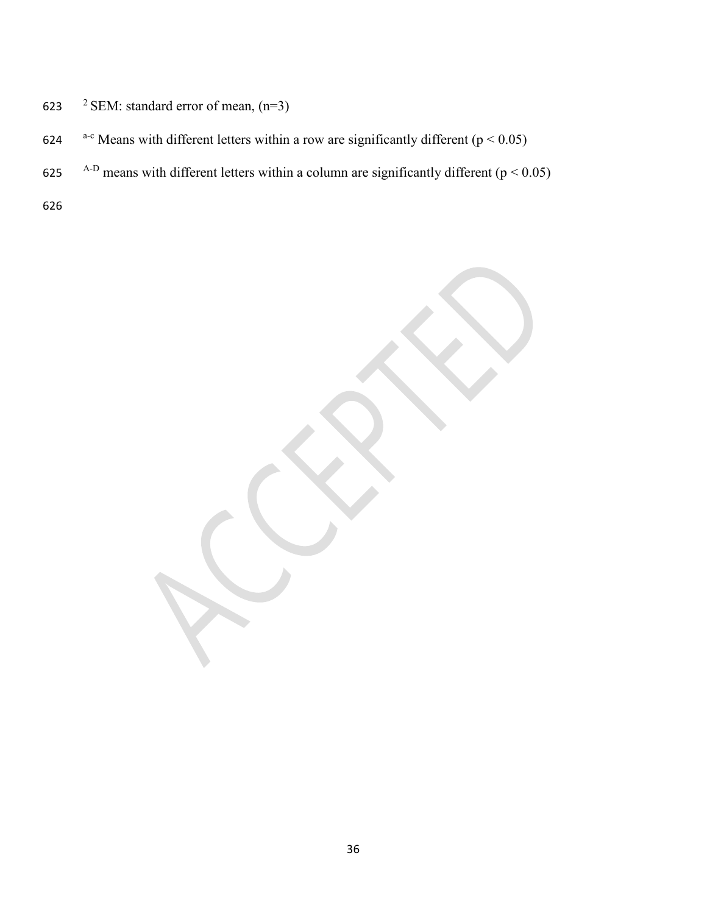- 623 <sup>2</sup> SEM: standard error of mean,  $(n=3)$
- 624 <sup>a-c</sup> Means with different letters within a row are significantly different ( $p < 0.05$ )
- 625 A-D means with different letters within a column are significantly different ( $p < 0.05$ )
- 626

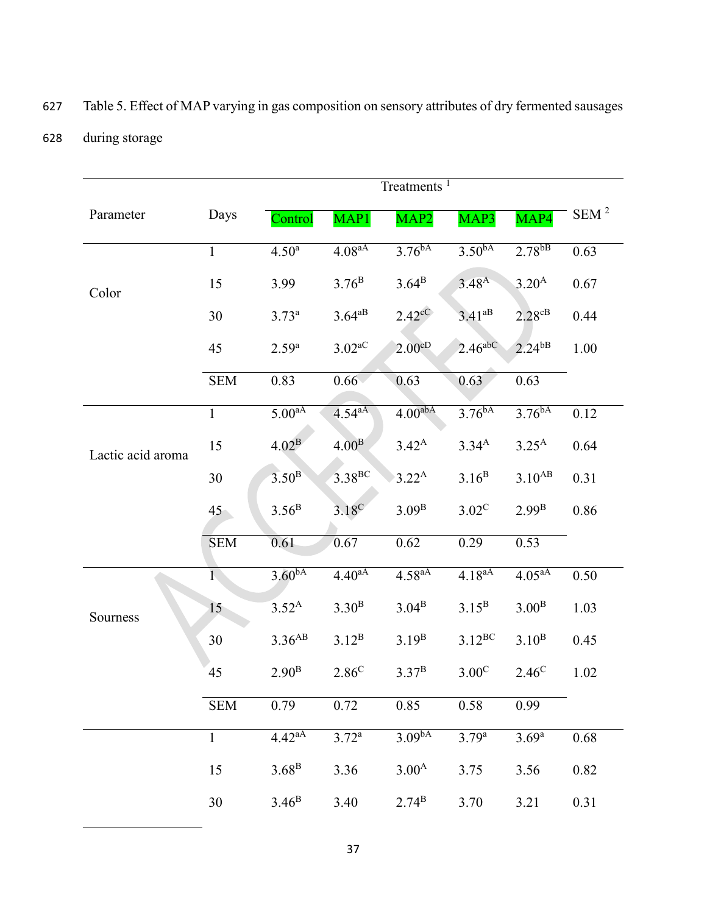# 627 Table 5. Effect of MAP varying in gas composition on sensory attributes of dry fermented sausages

## 628 during storage

|                   | Treatments <sup>1</sup> |                    |                      |                     |                    |                    |                  |
|-------------------|-------------------------|--------------------|----------------------|---------------------|--------------------|--------------------|------------------|
| Parameter         | Days                    | Control            | $\overline{MAP1}$    | MAP2                | MAP3               | MAP4               | SEM <sup>2</sup> |
|                   | $\mathbf{1}$            | 4.50 <sup>a</sup>  | 4.08 <sup>aA</sup>   | $3.76^{bA}$         | 3.50 <sup>bA</sup> | $2.78^{bB}$        | 0.63             |
| Color             | 15                      | 3.99               | $3.76^{\rm B}$       | $3.64^{\rm B}$      | $3.48^{A}$         | $3.20^{A}$         | 0.67             |
|                   | 30                      | $3.73^{a}$         | $3.64^{aB}$          | $2.42^{\circ}$      | $3.41^{aB}$        | $2.28$ cB          | 0.44             |
|                   | 45                      | $2.59^{a}$         | $3.02$ <sup>aC</sup> | $2.00^{cD}$         | $2.46$ abC         | $2.24^{bB}$        | 1.00             |
|                   | <b>SEM</b>              | 0.83               | 0.66 <sup>°</sup>    | 0.63                | 0.63               | 0.63               |                  |
|                   | $\mathbf{1}$            | 5.00 <sup>aA</sup> | 4.54 <sup>aA</sup>   | 4.00 <sup>abA</sup> | $3.76^{bA}$        | $3.76^{bA}$        | 0.12             |
| Lactic acid aroma | 15                      | 4.02 <sup>B</sup>  | 4.00 <sup>B</sup>    | $3.42^{A}$          | $3.34^{A}$         | $3.25^{A}$         | 0.64             |
|                   | 30                      | 3.50 <sup>B</sup>  | 3.38 <sup>BC</sup>   | $3.22^{A}$          | $3.16^{\rm B}$     | $3.10^{AB}$        | 0.31             |
|                   | 45                      | 3.56 <sup>B</sup>  | $3.18^\circ$         | 3.09 <sup>B</sup>   | $3.02^{\circ}$     | 2.99 <sup>B</sup>  | 0.86             |
|                   | <b>SEM</b>              | 0.61               | 0.67                 | 0.62                | 0.29               | 0.53               |                  |
|                   | $\mathbf{1}$            | 3.60 <sup>bA</sup> | $4.40^{aA}$          | $4.58^{aA}$         | $4.18^{aA}$        | 4.05 <sup>aA</sup> | 0.50             |
| Sourness          | 15                      | $3.52^{A}$         | 3.30 <sup>B</sup>    | $3.04^{\rm B}$      | $3.15^{\rm B}$     | 3.00 <sup>B</sup>  | 1.03             |
|                   | 30                      | 3.36 <sup>AB</sup> | $3.12^{B}$           | $3.19^{B}$          | $3.12^{BC}$        | $3.10^{B}$         | 0.45             |
|                   | 45                      | 2.90 <sup>B</sup>  | $2.86^{\circ}$       | $3.37^{\rm B}$      | $3.00^{\circ}$     | $2.46^{\circ}$     | 1.02             |
|                   | <b>SEM</b>              | 0.79               | 0.72                 | 0.85                | 0.58               | 0.99               |                  |
|                   | $\mathbf{1}$            | 4.42 <sup>aA</sup> | $3.72^{\rm a}$       | 3.09 <sup>bA</sup>  | $3.79^{a}$         | $3.69^{a}$         | 0.68             |
|                   | 15                      | 3.68 <sup>B</sup>  | 3.36                 | $3.00^{A}$          | 3.75               | 3.56               | 0.82             |
|                   | $30\,$                  | $3.46^{\rm B}$     | 3.40                 | $2.74^{\rm B}$      | 3.70               | 3.21               | 0.31             |